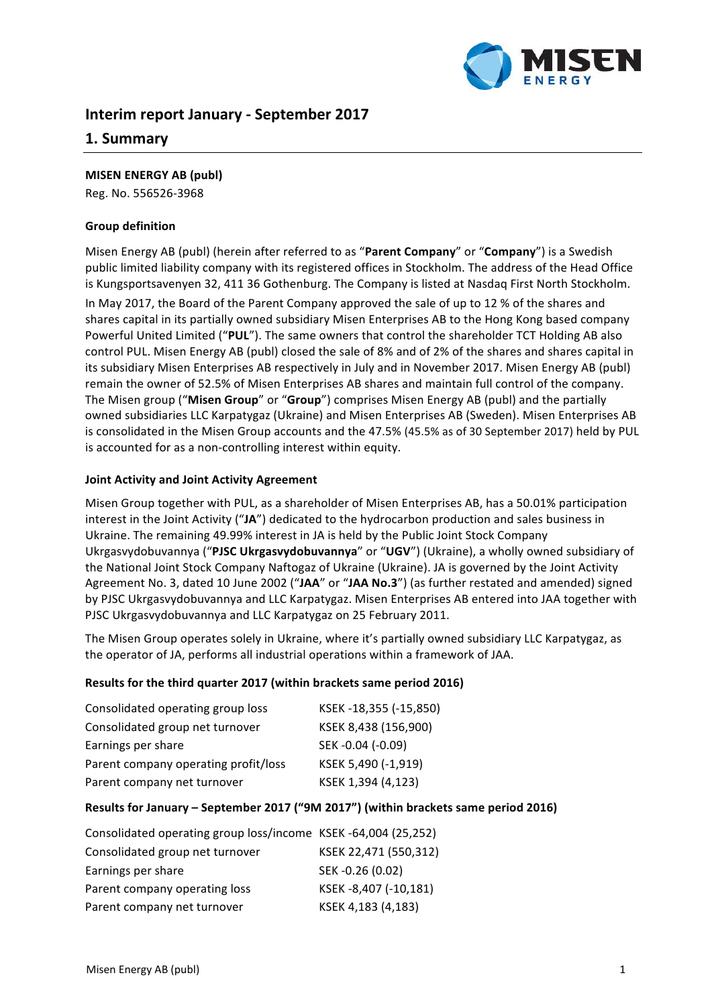

# **Interim report January - September 2017**

## **1. Summary**

#### **MISEN ENERGY AB (publ)**

Reg. No. 556526-3968

#### **Group definition**

Misen Energy AB (publ) (herein after referred to as "Parent Company" or "Company") is a Swedish public limited liability company with its registered offices in Stockholm. The address of the Head Office is Kungsportsavenyen 32, 411 36 Gothenburg. The Company is listed at Nasdaq First North Stockholm.

In May 2017, the Board of the Parent Company approved the sale of up to 12 % of the shares and shares capital in its partially owned subsidiary Misen Enterprises AB to the Hong Kong based company Powerful United Limited ("PUL"). The same owners that control the shareholder TCT Holding AB also control PUL. Misen Energy AB (publ) closed the sale of 8% and of 2% of the shares and shares capital in its subsidiary Misen Enterprises AB respectively in July and in November 2017. Misen Energy AB (publ) remain the owner of 52.5% of Misen Enterprises AB shares and maintain full control of the company. The Misen group ("Misen Group" or "Group") comprises Misen Energy AB (publ) and the partially owned subsidiaries LLC Karpatygaz (Ukraine) and Misen Enterprises AB (Sweden). Misen Enterprises AB is consolidated in the Misen Group accounts and the 47.5% (45.5% as of 30 September 2017) held by PUL is accounted for as a non-controlling interest within equity.

#### **Joint Activity and Joint Activity Agreement**

Misen Group together with PUL, as a shareholder of Misen Enterprises AB, has a 50.01% participation interest in the Joint Activity ("JA") dedicated to the hydrocarbon production and sales business in Ukraine. The remaining 49.99% interest in JA is held by the Public Joint Stock Company Ukrgasvydobuvannya ("PJSC Ukrgasvydobuvannya" or "UGV") (Ukraine), a wholly owned subsidiary of the National Joint Stock Company Naftogaz of Ukraine (Ukraine). JA is governed by the Joint Activity Agreement No. 3, dated 10 June 2002 ("JAA" or "JAA No.3") (as further restated and amended) signed by PJSC Ukrgasvydobuvannya and LLC Karpatygaz. Misen Enterprises AB entered into JAA together with PJSC Ukrgasvydobuvannya and LLC Karpatygaz on 25 February 2011.

The Misen Group operates solely in Ukraine, where it's partially owned subsidiary LLC Karpatygaz, as the operator of JA, performs all industrial operations within a framework of JAA.

#### Results for the third quarter 2017 (within brackets same period 2016)

| Consolidated operating group loss    | KSEK-18,355 (-15,850) |
|--------------------------------------|-----------------------|
| Consolidated group net turnover      | KSEK 8,438 (156,900)  |
| Earnings per share                   | SEK-0.04 (-0.09)      |
| Parent company operating profit/loss | KSEK 5,490 (-1,919)   |
| Parent company net turnover          | KSEK 1,394 (4,123)    |

#### Results for January - September 2017 ("9M 2017") (within brackets same period 2016)

| Consolidated operating group loss/income KSEK-64,004 (25,252) |                       |
|---------------------------------------------------------------|-----------------------|
| Consolidated group net turnover                               | KSEK 22,471 (550,312) |
| Earnings per share                                            | SEK-0.26 (0.02)       |
| Parent company operating loss                                 | KSEK-8,407 (-10,181)  |
| Parent company net turnover                                   | KSEK 4,183 (4,183)    |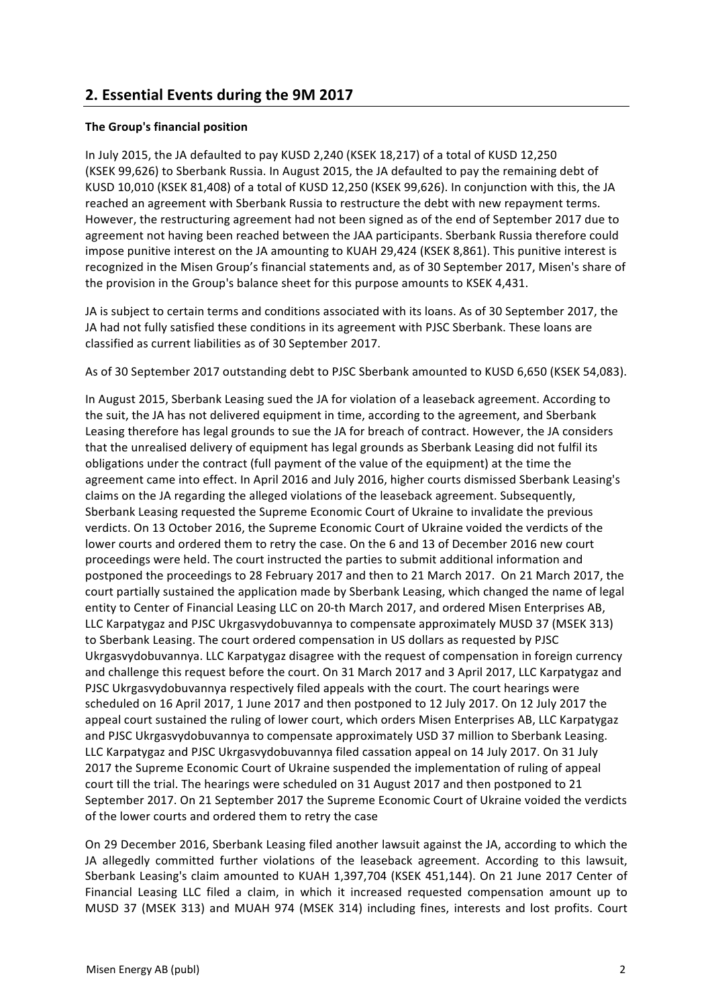# **2. Essential Events during the 9М 2017**

### **The Group's financial position**

In July 2015, the JA defaulted to pay KUSD 2,240 (KSEK 18,217) of a total of KUSD 12,250 (KSEK 99,626) to Sberbank Russia. In August 2015, the JA defaulted to pay the remaining debt of KUSD 10,010 (KSEK 81,408) of a total of KUSD 12,250 (KSEK 99,626). In conjunction with this, the JA reached an agreement with Sberbank Russia to restructure the debt with new repayment terms. However, the restructuring agreement had not been signed as of the end of September 2017 due to agreement not having been reached between the JAA participants. Sberbank Russia therefore could impose punitive interest on the JA amounting to KUAH 29,424 (KSEK 8,861). This punitive interest is recognized in the Misen Group's financial statements and, as of 30 September 2017, Misen's share of the provision in the Group's balance sheet for this purpose amounts to KSEK 4,431.

JA is subject to certain terms and conditions associated with its loans. As of 30 September 2017, the JA had not fully satisfied these conditions in its agreement with PJSC Sberbank. These loans are classified as current liabilities as of 30 September 2017.

As of 30 September 2017 outstanding debt to PJSC Sberbank amounted to KUSD 6,650 (KSEK 54,083).

In August 2015, Sberbank Leasing sued the JA for violation of a leaseback agreement. According to the suit, the JA has not delivered equipment in time, according to the agreement, and Sberbank Leasing therefore has legal grounds to sue the JA for breach of contract. However, the JA considers that the unrealised delivery of equipment has legal grounds as Sberbank Leasing did not fulfil its obligations under the contract (full payment of the value of the equipment) at the time the agreement came into effect. In April 2016 and July 2016, higher courts dismissed Sberbank Leasing's claims on the JA regarding the alleged violations of the leaseback agreement. Subsequently, Sberbank Leasing requested the Supreme Economic Court of Ukraine to invalidate the previous verdicts. On 13 October 2016, the Supreme Economic Court of Ukraine voided the verdicts of the lower courts and ordered them to retry the case. On the 6 and 13 of December 2016 new court proceedings were held. The court instructed the parties to submit additional information and postponed the proceedings to 28 February 2017 and then to 21 March 2017. On 21 March 2017, the court partially sustained the application made by Sberbank Leasing, which changed the name of legal entity to Center of Financial Leasing LLC on 20-th March 2017, and ordered Misen Enterprises AB, LLC Karpatygaz and PJSC Ukrgasvydobuvannya to compensate approximately MUSD 37 (MSEK 313) to Sberbank Leasing. The court ordered compensation in US dollars as requested by PJSC Ukrgasvydobuvannya. LLC Karpatygaz disagree with the request of compensation in foreign currency and challenge this request before the court. On 31 March 2017 and 3 April 2017, LLC Karpatygaz and PJSC Ukrgasvydobuvannya respectively filed appeals with the court. The court hearings were scheduled on 16 April 2017, 1 June 2017 and then postponed to 12 July 2017. On 12 July 2017 the appeal court sustained the ruling of lower court, which orders Misen Enterprises AB, LLC Karpatygaz and PJSC Ukrgasvydobuvannya to compensate approximately USD 37 million to Sberbank Leasing. LLC Karpatygaz and PJSC Ukrgasvydobuvannya filed cassation appeal on 14 July 2017. On 31 July 2017 the Supreme Economic Court of Ukraine suspended the implementation of ruling of appeal court till the trial. The hearings were scheduled on 31 August 2017 and then postponed to 21 September 2017. On 21 September 2017 the Supreme Economic Court of Ukraine voided the verdicts of the lower courts and ordered them to retry the case

On 29 December 2016, Sberbank Leasing filed another lawsuit against the JA, according to which the JA allegedly committed further violations of the leaseback agreement. According to this lawsuit, Sberbank Leasing's claim amounted to KUAH 1,397,704 (KSEK 451,144). On 21 June 2017 Center of Financial Leasing LLC filed a claim, in which it increased requested compensation amount up to MUSD 37 (MSEK 313) and MUAH 974 (MSEK 314) including fines, interests and lost profits. Court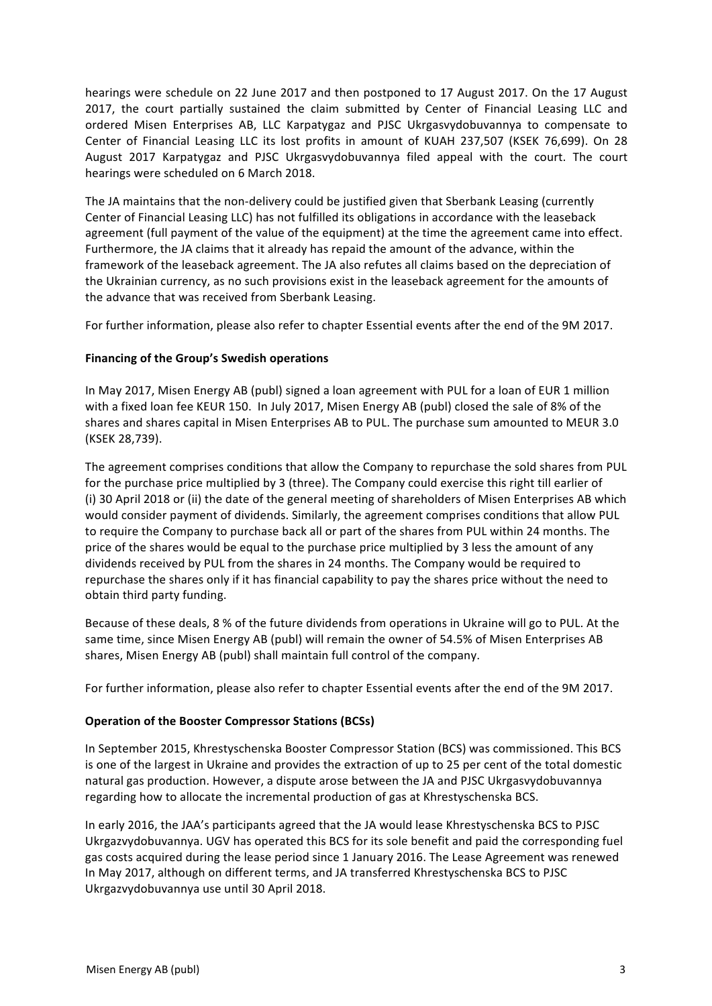hearings were schedule on 22 June 2017 and then postponed to 17 August 2017. On the 17 August 2017, the court partially sustained the claim submitted by Center of Financial Leasing LLC and ordered Misen Enterprises AB, LLC Karpatygaz and PJSC Ukrgasvydobuvannya to compensate to Center of Financial Leasing LLC its lost profits in amount of KUAH 237,507 (KSEK 76,699). On 28 August 2017 Karpatygaz and PJSC Ukrgasvydobuvannya filed appeal with the court. The court hearings were scheduled on 6 March 2018.

The JA maintains that the non-delivery could be justified given that Sberbank Leasing (currently Center of Financial Leasing LLC) has not fulfilled its obligations in accordance with the leaseback agreement (full payment of the value of the equipment) at the time the agreement came into effect. Furthermore, the JA claims that it already has repaid the amount of the advance, within the framework of the leaseback agreement. The JA also refutes all claims based on the depreciation of the Ukrainian currency, as no such provisions exist in the leaseback agreement for the amounts of the advance that was received from Sberbank Leasing.

For further information, please also refer to chapter Essential events after the end of the 9M 2017.

## **Financing of the Group's Swedish operations**

In May 2017, Misen Energy AB (publ) signed a loan agreement with PUL for a loan of EUR 1 million with a fixed loan fee KEUR 150. In July 2017, Misen Energy AB (publ) closed the sale of 8% of the shares and shares capital in Misen Enterprises AB to PUL. The purchase sum amounted to MEUR 3.0 (KSEK 28,739).

The agreement comprises conditions that allow the Company to repurchase the sold shares from PUL for the purchase price multiplied by 3 (three). The Company could exercise this right till earlier of (i) 30 April 2018 or (ii) the date of the general meeting of shareholders of Misen Enterprises AB which would consider payment of dividends. Similarly, the agreement comprises conditions that allow PUL to require the Company to purchase back all or part of the shares from PUL within 24 months. The price of the shares would be equal to the purchase price multiplied by 3 less the amount of any dividends received by PUL from the shares in 24 months. The Company would be required to repurchase the shares only if it has financial capability to pay the shares price without the need to obtain third party funding.

Because of these deals, 8 % of the future dividends from operations in Ukraine will go to PUL. At the same time, since Misen Energy AB (publ) will remain the owner of 54.5% of Misen Enterprises AB shares, Misen Energy AB (publ) shall maintain full control of the company.

For further information, please also refer to chapter Essential events after the end of the 9M 2017.

## **Operation of the Booster Compressor Stations (BCSs)**

In September 2015, Khrestyschenska Booster Compressor Station (BCS) was commissioned. This BCS is one of the largest in Ukraine and provides the extraction of up to 25 per cent of the total domestic natural gas production. However, a dispute arose between the JA and PJSC Ukrgasvydobuvannya regarding how to allocate the incremental production of gas at Khrestyschenska BCS.

In early 2016, the JAA's participants agreed that the JA would lease Khrestyschenska BCS to PJSC Ukrgazvydobuvannya. UGV has operated this BCS for its sole benefit and paid the corresponding fuel gas costs acquired during the lease period since 1 January 2016. The Lease Agreement was renewed In May 2017, although on different terms, and JA transferred Khrestyschenska BCS to PJSC Ukrgazvydobuvannya use until 30 April 2018.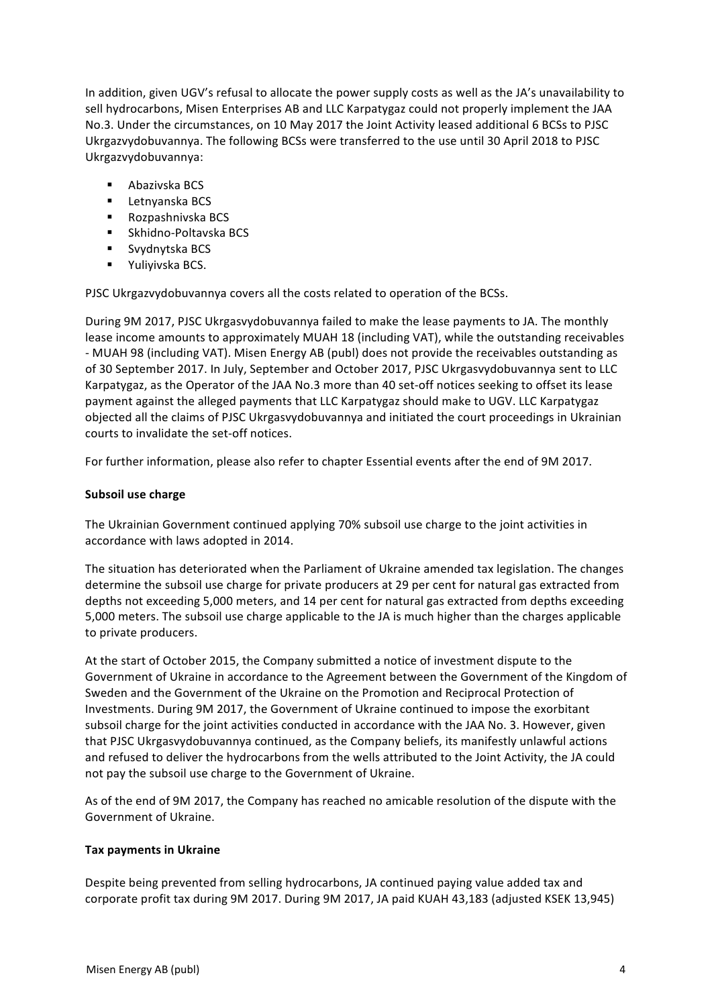In addition, given UGV's refusal to allocate the power supply costs as well as the JA's unavailability to sell hydrocarbons, Misen Enterprises AB and LLC Karpatygaz could not properly implement the JAA No.3. Under the circumstances, on 10 May 2017 the Joint Activity leased additional 6 BCSs to PJSC Ukrgazvydobuvannya. The following BCSs were transferred to the use until 30 April 2018 to PJSC Ukrgazvydobuvannya:

- $\blacksquare$  Abazivska BCS
- Letnyanska BCS
- Rozpashnivska BCS
- Skhidno-Poltavska BCS
- Svydnytska BCS
- Yuliyivska BCS.

PJSC Ukrgazvydobuvannya covers all the costs related to operation of the BCSs.

During 9M 2017, PJSC Ukrgasvydobuvannya failed to make the lease payments to JA. The monthly lease income amounts to approximately MUAH 18 (including VAT), while the outstanding receivables - MUAH 98 (including VAT). Misen Energy AB (publ) does not provide the receivables outstanding as of 30 September 2017. In July, September and October 2017, PJSC Ukrgasvydobuvannya sent to LLC Karpatygaz, as the Operator of the JAA No.3 more than 40 set-off notices seeking to offset its lease payment against the alleged payments that LLC Karpatygaz should make to UGV. LLC Karpatygaz objected all the claims of PJSC Ukrgasvydobuvannya and initiated the court proceedings in Ukrainian courts to invalidate the set-off notices.

For further information, please also refer to chapter Essential events after the end of 9M 2017.

#### **Subsoil use charge**

The Ukrainian Government continued applying 70% subsoil use charge to the joint activities in accordance with laws adopted in 2014.

The situation has deteriorated when the Parliament of Ukraine amended tax legislation. The changes determine the subsoil use charge for private producers at 29 per cent for natural gas extracted from depths not exceeding 5,000 meters, and 14 per cent for natural gas extracted from depths exceeding 5,000 meters. The subsoil use charge applicable to the JA is much higher than the charges applicable to private producers.

At the start of October 2015, the Company submitted a notice of investment dispute to the Government of Ukraine in accordance to the Agreement between the Government of the Kingdom of Sweden and the Government of the Ukraine on the Promotion and Reciprocal Protection of Investments. During 9M 2017, the Government of Ukraine continued to impose the exorbitant subsoil charge for the joint activities conducted in accordance with the JAA No. 3. However, given that PJSC Ukrgasvydobuvannya continued, as the Company beliefs, its manifestly unlawful actions and refused to deliver the hydrocarbons from the wells attributed to the Joint Activity, the JA could not pay the subsoil use charge to the Government of Ukraine.

As of the end of 9M 2017, the Company has reached no amicable resolution of the dispute with the Government of Ukraine.

#### **Tax payments in Ukraine**

Despite being prevented from selling hydrocarbons, JA continued paying value added tax and corporate profit tax during 9M 2017. During 9M 2017, JA paid KUAH 43,183 (adjusted KSEK 13,945)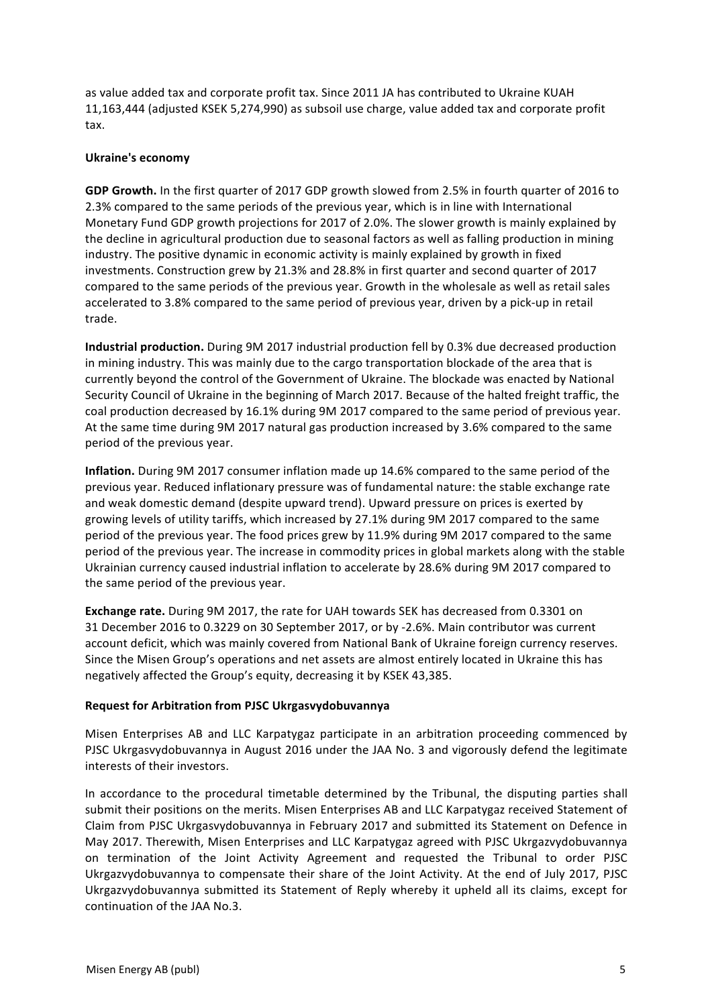as value added tax and corporate profit tax. Since 2011 JA has contributed to Ukraine KUAH 11,163,444 (adjusted KSEK 5,274,990) as subsoil use charge, value added tax and corporate profit tax. 

#### **Ukraine's economy**

GDP Growth. In the first quarter of 2017 GDP growth slowed from 2.5% in fourth quarter of 2016 to 2.3% compared to the same periods of the previous year, which is in line with International Monetary Fund GDP growth projections for 2017 of 2.0%. The slower growth is mainly explained by the decline in agricultural production due to seasonal factors as well as falling production in mining industry. The positive dynamic in economic activity is mainly explained by growth in fixed investments. Construction grew by 21.3% and 28.8% in first quarter and second quarter of 2017 compared to the same periods of the previous year. Growth in the wholesale as well as retail sales accelerated to 3.8% compared to the same period of previous year, driven by a pick-up in retail trade.

**Industrial production.** During 9M 2017 industrial production fell by 0.3% due decreased production in mining industry. This was mainly due to the cargo transportation blockade of the area that is currently beyond the control of the Government of Ukraine. The blockade was enacted by National Security Council of Ukraine in the beginning of March 2017. Because of the halted freight traffic, the coal production decreased by 16.1% during 9M 2017 compared to the same period of previous year. At the same time during 9M 2017 natural gas production increased by 3.6% compared to the same period of the previous vear.

**Inflation.** During 9M 2017 consumer inflation made up 14.6% compared to the same period of the previous year. Reduced inflationary pressure was of fundamental nature: the stable exchange rate and weak domestic demand (despite upward trend). Upward pressure on prices is exerted by growing levels of utility tariffs, which increased by 27.1% during 9M 2017 compared to the same period of the previous year. The food prices grew by 11.9% during 9M 2017 compared to the same period of the previous year. The increase in commodity prices in global markets along with the stable Ukrainian currency caused industrial inflation to accelerate by 28.6% during 9M 2017 compared to the same period of the previous year.

**Exchange rate.** During 9M 2017, the rate for UAH towards SEK has decreased from 0.3301 on 31 December 2016 to 0.3229 on 30 September 2017, or by -2.6%. Main contributor was current account deficit, which was mainly covered from National Bank of Ukraine foreign currency reserves. Since the Misen Group's operations and net assets are almost entirely located in Ukraine this has negatively affected the Group's equity, decreasing it by KSEK 43,385.

#### **Request for Arbitration from PJSC Ukrgasvydobuvannya**

Misen Enterprises AB and LLC Karpatygaz participate in an arbitration proceeding commenced by PJSC Ukrgasvydobuvannya in August 2016 under the JAA No. 3 and vigorously defend the legitimate interests of their investors.

In accordance to the procedural timetable determined by the Tribunal, the disputing parties shall submit their positions on the merits. Misen Enterprises AB and LLC Karpatygaz received Statement of Claim from PJSC Ukrgasvydobuvannya in February 2017 and submitted its Statement on Defence in May 2017. Therewith, Misen Enterprises and LLC Karpatygaz agreed with PJSC Ukrgazvydobuvannya on termination of the Joint Activity Agreement and requested the Tribunal to order PJSC Ukrgazvydobuvannya to compensate their share of the Joint Activity. At the end of July 2017, PJSC Ukrgazvydobuvannya submitted its Statement of Reply whereby it upheld all its claims, except for continuation of the JAA No.3.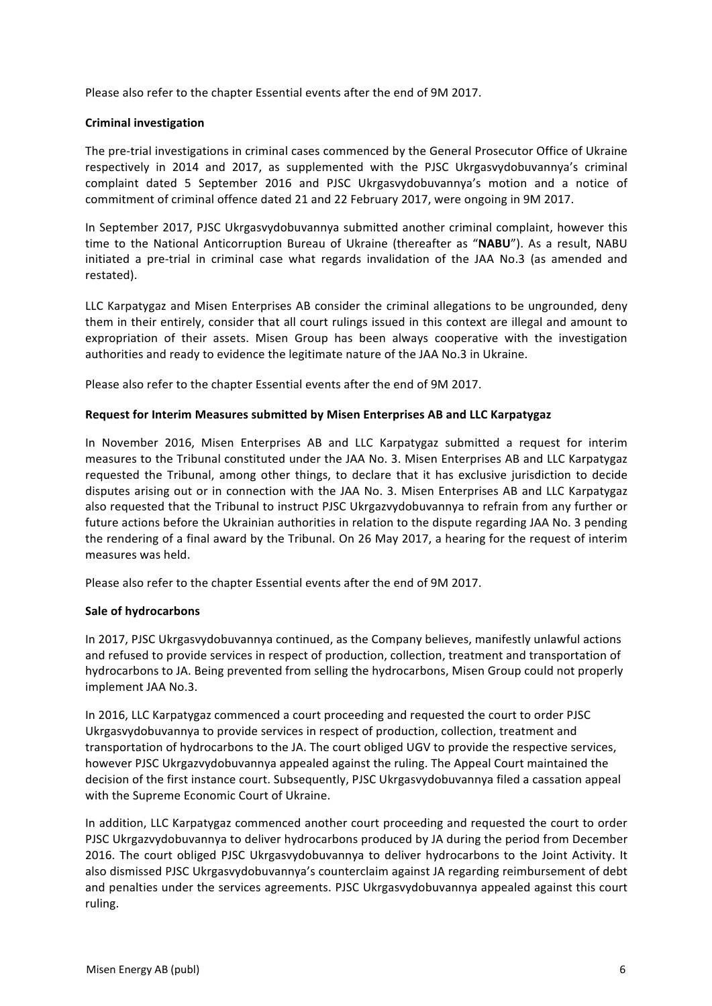Please also refer to the chapter Essential events after the end of 9M 2017.

#### **Criminal investigation**

The pre-trial investigations in criminal cases commenced by the General Prosecutor Office of Ukraine respectively in 2014 and 2017, as supplemented with the PJSC Ukrgasyydobuvannya's criminal complaint dated 5 September 2016 and PJSC Ukrgasvydobuvannya's motion and a notice of commitment of criminal offence dated 21 and 22 February 2017, were ongoing in 9M 2017.

In September 2017, PJSC Ukrgasvydobuvannya submitted another criminal complaint, however this time to the National Anticorruption Bureau of Ukraine (thereafter as "NABU"). As a result, NABU initiated a pre-trial in criminal case what regards invalidation of the JAA No.3 (as amended and restated). 

LLC Karpatygaz and Misen Enterprises AB consider the criminal allegations to be ungrounded, deny them in their entirely, consider that all court rulings issued in this context are illegal and amount to expropriation of their assets. Misen Group has been always cooperative with the investigation authorities and ready to evidence the legitimate nature of the JAA No.3 in Ukraine.

Please also refer to the chapter Essential events after the end of 9M 2017.

#### **Request for Interim Measures submitted by Misen Enterprises AB and LLC Karpatygaz**

In November 2016, Misen Enterprises AB and LLC Karpatygaz submitted a request for interim measures to the Tribunal constituted under the JAA No. 3. Misen Enterprises AB and LLC Karpatygaz requested the Tribunal, among other things, to declare that it has exclusive jurisdiction to decide disputes arising out or in connection with the JAA No. 3. Misen Enterprises AB and LLC Karpatygaz also requested that the Tribunal to instruct PJSC Ukrgazvydobuvannya to refrain from any further or future actions before the Ukrainian authorities in relation to the dispute regarding JAA No. 3 pending the rendering of a final award by the Tribunal. On 26 May 2017, a hearing for the request of interim measures was held.

Please also refer to the chapter Essential events after the end of 9M 2017.

#### **Sale of hydrocarbons**

In 2017, PJSC Ukrgasvydobuvannya continued, as the Company believes, manifestly unlawful actions and refused to provide services in respect of production, collection, treatment and transportation of hydrocarbons to JA. Being prevented from selling the hydrocarbons, Misen Group could not properly implement JAA No.3.

In 2016, LLC Karpatygaz commenced a court proceeding and requested the court to order PJSC Ukrgasvydobuvannya to provide services in respect of production, collection, treatment and transportation of hydrocarbons to the JA. The court obliged UGV to provide the respective services, however PJSC Ukrgazvydobuvannya appealed against the ruling. The Appeal Court maintained the decision of the first instance court. Subsequently, PJSC Ukrgasvydobuvannya filed a cassation appeal with the Supreme Economic Court of Ukraine.

In addition, LLC Karpatygaz commenced another court proceeding and requested the court to order PJSC Ukrgazvydobuvannya to deliver hydrocarbons produced by JA during the period from December 2016. The court obliged PJSC Ukrgasvydobuvannya to deliver hydrocarbons to the Joint Activity. It also dismissed PJSC Ukrgasvydobuvannya's counterclaim against JA regarding reimbursement of debt and penalties under the services agreements. PJSC Ukrgasvydobuvannya appealed against this court ruling.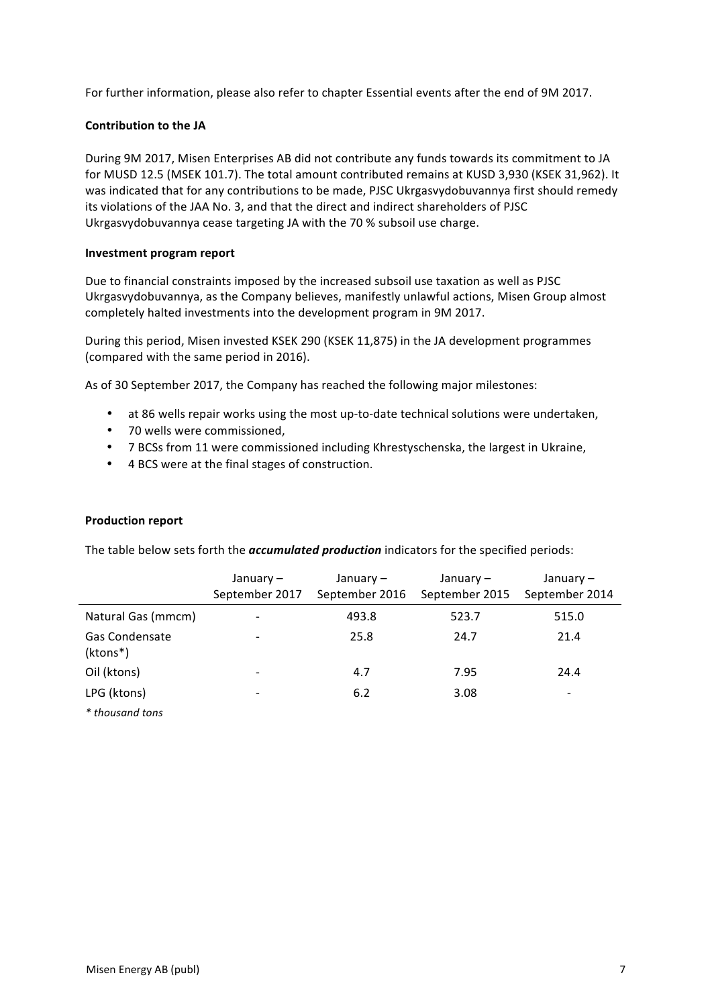For further information, please also refer to chapter Essential events after the end of 9M 2017.

### **Contribution to the JA**

During 9M 2017, Misen Enterprises AB did not contribute any funds towards its commitment to JA for MUSD 12.5 (MSEK 101.7). The total amount contributed remains at KUSD 3,930 (KSEK 31,962). It was indicated that for any contributions to be made, PJSC Ukrgasvydobuvannya first should remedy its violations of the JAA No. 3, and that the direct and indirect shareholders of PJSC Ukrgasvydobuvannya cease targeting JA with the 70 % subsoil use charge.

#### **Investment program report**

Due to financial constraints imposed by the increased subsoil use taxation as well as PJSC Ukrgasvydobuvannya, as the Company believes, manifestly unlawful actions, Misen Group almost completely halted investments into the development program in 9M 2017.

During this period, Misen invested KSEK 290 (KSEK 11,875) in the JA development programmes (compared with the same period in 2016).

As of 30 September 2017, the Company has reached the following major milestones:

- at 86 wells repair works using the most up-to-date technical solutions were undertaken,
- 70 wells were commissioned,
- 7 BCSs from 11 were commissioned including Khrestyschenska, the largest in Ukraine,
- 4 BCS were at the final stages of construction.

#### **Production report**

The table below sets forth the *accumulated production* indicators for the specified periods:

|                                   | January $-$<br>September 2017 | January –<br>September 2016 | January –<br>September 2015 | January –<br>September 2014 |
|-----------------------------------|-------------------------------|-----------------------------|-----------------------------|-----------------------------|
| Natural Gas (mmcm)                |                               | 493.8                       | 523.7                       | 515.0                       |
| <b>Gas Condensate</b><br>(ktons*) | $\overline{\phantom{a}}$      | 25.8                        | 24.7                        | 21.4                        |
| Oil (ktons)                       | $\overline{\phantom{a}}$      | 4.7                         | 7.95                        | 24.4                        |
| LPG (ktons)                       | -                             | 6.2                         | 3.08                        | -                           |
| * thousand tons                   |                               |                             |                             |                             |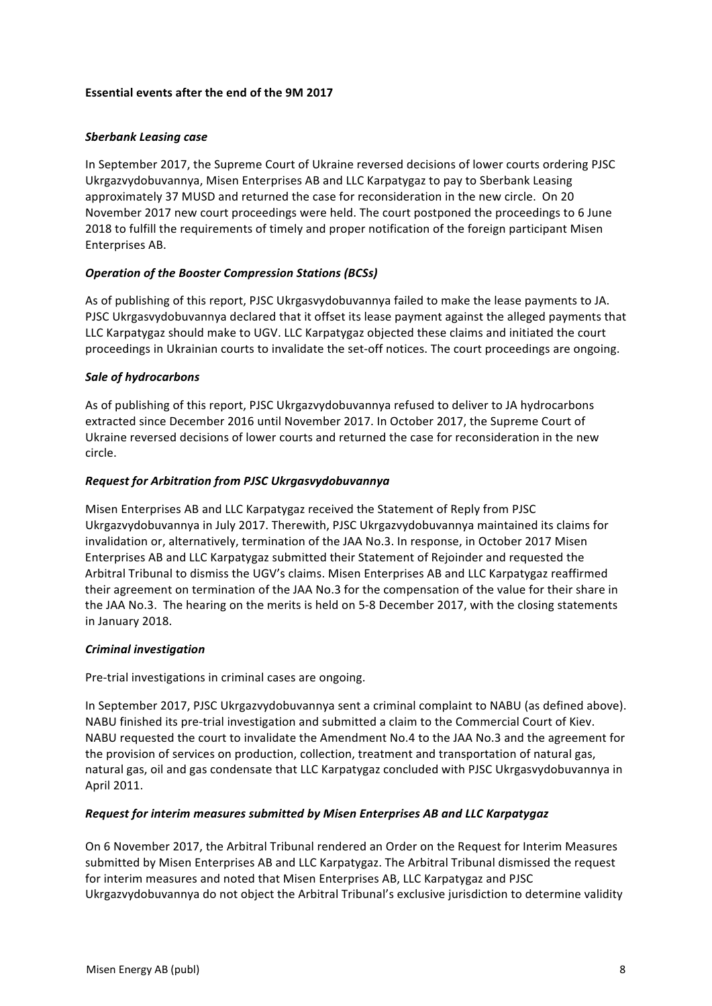### **Essential events after the end of the 9M 2017**

#### *Sberbank Leasing case*

In September 2017, the Supreme Court of Ukraine reversed decisions of lower courts ordering PJSC Ukrgazvydobuvannya, Misen Enterprises AB and LLC Karpatygaz to pay to Sberbank Leasing approximately 37 MUSD and returned the case for reconsideration in the new circle. On 20 November 2017 new court proceedings were held. The court postponed the proceedings to 6 June 2018 to fulfill the requirements of timely and proper notification of the foreign participant Misen Enterprises AB. 

## **Operation of the Booster Compression Stations (BCSs)**

As of publishing of this report, PJSC Ukrgasvydobuvannya failed to make the lease payments to JA. PJSC Ukrgasvydobuvannya declared that it offset its lease payment against the alleged payments that LLC Karpatygaz should make to UGV. LLC Karpatygaz objected these claims and initiated the court proceedings in Ukrainian courts to invalidate the set-off notices. The court proceedings are ongoing.

#### *Sale of hydrocarbons*

As of publishing of this report, PJSC Ukrgazvydobuvannya refused to deliver to JA hydrocarbons extracted since December 2016 until November 2017. In October 2017, the Supreme Court of Ukraine reversed decisions of lower courts and returned the case for reconsideration in the new circle. 

## *Request for Arbitration from PJSC Ukrgasvydobuvannya*

Misen Enterprises AB and LLC Karpatygaz received the Statement of Reply from PJSC Ukrgazvydobuvannya in July 2017. Therewith, PJSC Ukrgazvydobuvannya maintained its claims for invalidation or, alternatively, termination of the JAA No.3. In response, in October 2017 Misen Enterprises AB and LLC Karpatygaz submitted their Statement of Rejoinder and requested the Arbitral Tribunal to dismiss the UGV's claims. Misen Enterprises AB and LLC Karpatygaz reaffirmed their agreement on termination of the JAA No.3 for the compensation of the value for their share in the JAA No.3. The hearing on the merits is held on 5-8 December 2017, with the closing statements in January 2018.

#### *Criminal investigation*

Pre-trial investigations in criminal cases are ongoing.

In September 2017, PJSC Ukrgazvydobuvannya sent a criminal complaint to NABU (as defined above). NABU finished its pre-trial investigation and submitted a claim to the Commercial Court of Kiev. NABU requested the court to invalidate the Amendment No.4 to the JAA No.3 and the agreement for the provision of services on production, collection, treatment and transportation of natural gas, natural gas, oil and gas condensate that LLC Karpatygaz concluded with PJSC Ukrgasvydobuvannya in April 2011.

## *Request for interim measures submitted by Misen Enterprises AB and LLC Karpatygaz*

On 6 November 2017, the Arbitral Tribunal rendered an Order on the Request for Interim Measures submitted by Misen Enterprises AB and LLC Karpatygaz. The Arbitral Tribunal dismissed the request for interim measures and noted that Misen Enterprises AB, LLC Karpatygaz and PJSC Ukrgazvydobuvannya do not object the Arbitral Tribunal's exclusive jurisdiction to determine validity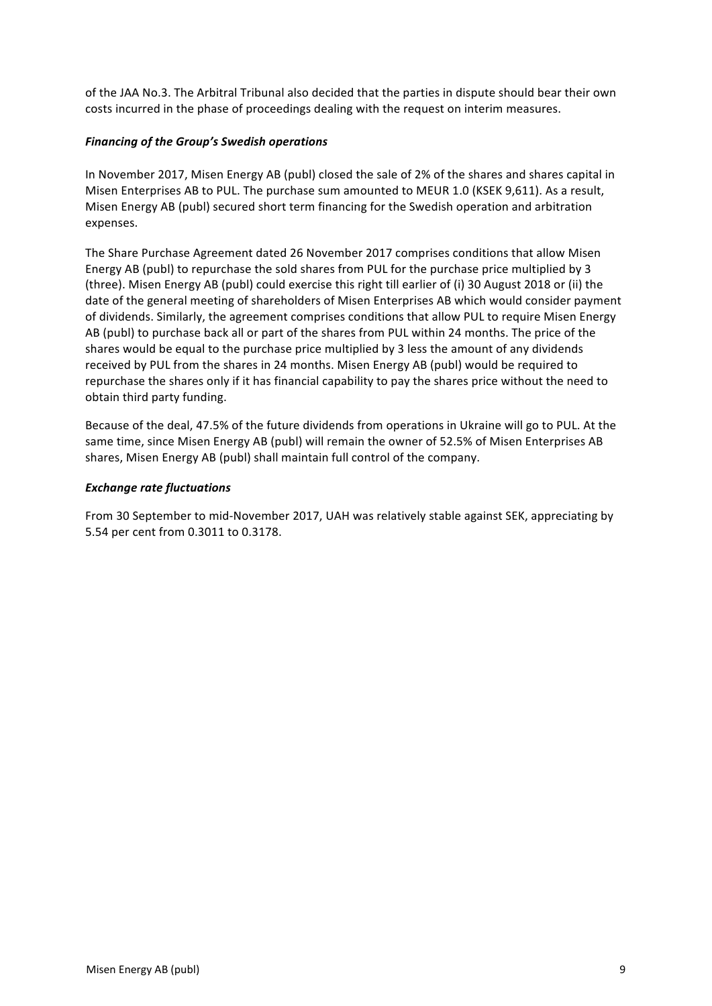of the JAA No.3. The Arbitral Tribunal also decided that the parties in dispute should bear their own costs incurred in the phase of proceedings dealing with the request on interim measures.

### **Financing of the Group's Swedish operations**

In November 2017, Misen Energy AB (publ) closed the sale of 2% of the shares and shares capital in Misen Enterprises AB to PUL. The purchase sum amounted to MEUR 1.0 (KSEK 9,611). As a result, Misen Energy AB (publ) secured short term financing for the Swedish operation and arbitration expenses. 

The Share Purchase Agreement dated 26 November 2017 comprises conditions that allow Misen Energy AB (publ) to repurchase the sold shares from PUL for the purchase price multiplied by 3 (three). Misen Energy AB (publ) could exercise this right till earlier of (i) 30 August 2018 or (ii) the date of the general meeting of shareholders of Misen Enterprises AB which would consider payment of dividends. Similarly, the agreement comprises conditions that allow PUL to require Misen Energy AB (publ) to purchase back all or part of the shares from PUL within 24 months. The price of the shares would be equal to the purchase price multiplied by 3 less the amount of any dividends received by PUL from the shares in 24 months. Misen Energy AB (publ) would be required to repurchase the shares only if it has financial capability to pay the shares price without the need to obtain third party funding.

Because of the deal, 47.5% of the future dividends from operations in Ukraine will go to PUL. At the same time, since Misen Energy AB (publ) will remain the owner of 52.5% of Misen Enterprises AB shares, Misen Energy AB (publ) shall maintain full control of the company.

#### *Exchange rate fluctuations*

From 30 September to mid-November 2017, UAH was relatively stable against SEK, appreciating by 5.54 per cent from 0.3011 to 0.3178.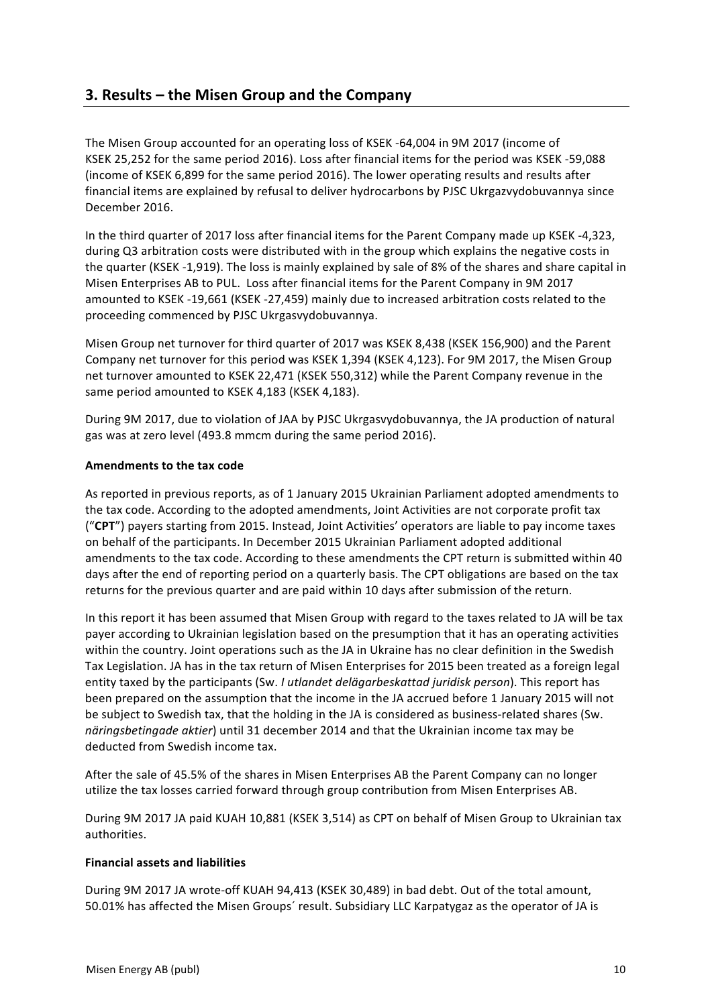# **3. Results – the Misen Group and the Company**

The Misen Group accounted for an operating loss of KSEK -64,004 in 9M 2017 (income of KSEK 25,252 for the same period 2016). Loss after financial items for the period was KSEK -59,088 (income of KSEK 6,899 for the same period 2016). The lower operating results and results after financial items are explained by refusal to deliver hydrocarbons by PJSC Ukrgazvydobuvannya since December 2016.

In the third quarter of 2017 loss after financial items for the Parent Company made up KSEK -4,323, during Q3 arbitration costs were distributed with in the group which explains the negative costs in the quarter (KSEK -1,919). The loss is mainly explained by sale of 8% of the shares and share capital in Misen Enterprises AB to PUL. Loss after financial items for the Parent Company in 9M 2017 amounted to KSEK -19,661 (KSEK -27,459) mainly due to increased arbitration costs related to the proceeding commenced by PJSC Ukrgasvydobuvannya.

Misen Group net turnover for third quarter of 2017 was KSEK 8,438 (KSEK 156,900) and the Parent Company net turnover for this period was KSEK 1,394 (KSEK 4,123). For 9M 2017, the Misen Group net turnover amounted to KSEK 22,471 (KSEK 550,312) while the Parent Company revenue in the same period amounted to KSEK 4,183 (KSEK 4,183).

During 9M 2017, due to violation of JAA by PJSC Ukrgasvydobuvannya, the JA production of natural gas was at zero level (493.8 mmcm during the same period 2016).

## **Amendments to the tax code**

As reported in previous reports, as of 1 January 2015 Ukrainian Parliament adopted amendments to the tax code. According to the adopted amendments, Joint Activities are not corporate profit tax ("CPT") payers starting from 2015. Instead, Joint Activities' operators are liable to pay income taxes on behalf of the participants. In December 2015 Ukrainian Parliament adopted additional amendments to the tax code. According to these amendments the CPT return is submitted within 40 days after the end of reporting period on a quarterly basis. The CPT obligations are based on the tax returns for the previous quarter and are paid within 10 days after submission of the return.

In this report it has been assumed that Misen Group with regard to the taxes related to JA will be tax payer according to Ukrainian legislation based on the presumption that it has an operating activities within the country. Joint operations such as the JA in Ukraine has no clear definition in the Swedish Tax Legislation. JA has in the tax return of Misen Enterprises for 2015 been treated as a foreign legal entity taxed by the participants (Sw. *I utlandet delägarbeskattad juridisk person*). This report has been prepared on the assumption that the income in the JA accrued before 1 January 2015 will not be subject to Swedish tax, that the holding in the JA is considered as business-related shares (Sw. *näringsbetingade aktier*) until 31 december 2014 and that the Ukrainian income tax may be deducted from Swedish income tax.

After the sale of 45.5% of the shares in Misen Enterprises AB the Parent Company can no longer utilize the tax losses carried forward through group contribution from Misen Enterprises AB.

During 9M 2017 JA paid KUAH 10,881 (KSEK 3,514) as CPT on behalf of Misen Group to Ukrainian tax authorities.

#### **Financial assets and liabilities**

During 9M 2017 JA wrote-off KUAH 94,413 (KSEK 30,489) in bad debt. Out of the total amount, 50.01% has affected the Misen Groups' result. Subsidiary LLC Karpatygaz as the operator of JA is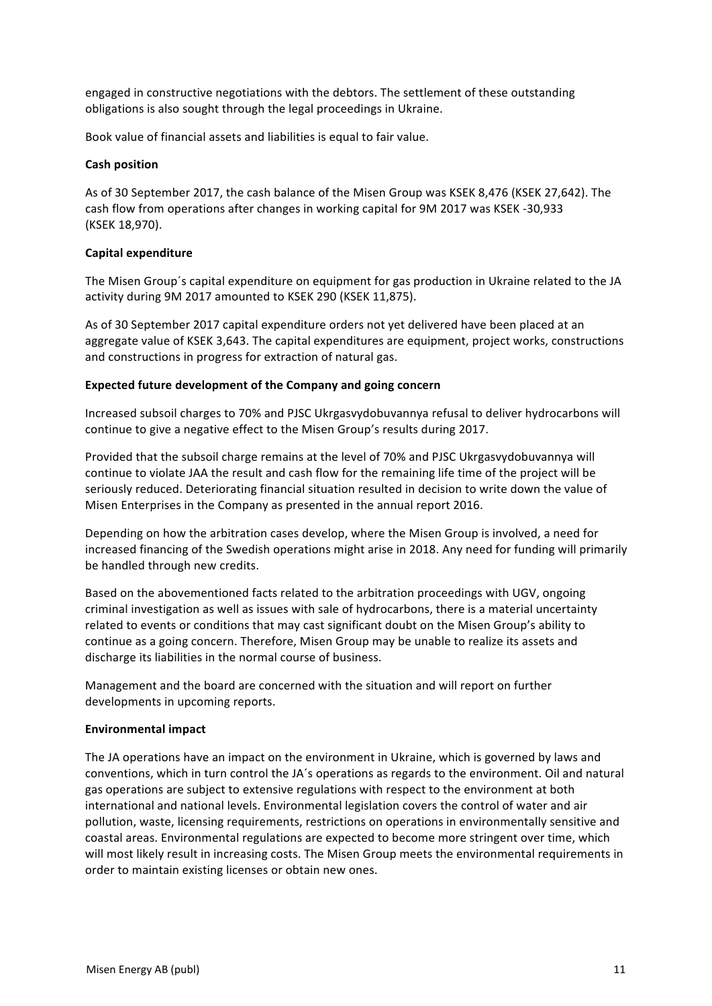engaged in constructive negotiations with the debtors. The settlement of these outstanding obligations is also sought through the legal proceedings in Ukraine.

Book value of financial assets and liabilities is equal to fair value.

#### **Cash position**

As of 30 September 2017, the cash balance of the Misen Group was KSEK 8,476 (KSEK 27,642). The cash flow from operations after changes in working capital for 9M 2017 was KSEK -30,933 (KSEK 18,970). 

#### **Capital expenditure**

The Misen Group's capital expenditure on equipment for gas production in Ukraine related to the JA activity during 9M 2017 amounted to KSEK 290 (KSEK 11,875).

As of 30 September 2017 capital expenditure orders not yet delivered have been placed at an aggregate value of KSEK 3,643. The capital expenditures are equipment, project works, constructions and constructions in progress for extraction of natural gas.

#### **Expected future development of the Company and going concern**

Increased subsoil charges to 70% and PJSC Ukrgasvydobuvannya refusal to deliver hydrocarbons will continue to give a negative effect to the Misen Group's results during 2017.

Provided that the subsoil charge remains at the level of 70% and PJSC Ukrgasvydobuvannya will continue to violate JAA the result and cash flow for the remaining life time of the project will be seriously reduced. Deteriorating financial situation resulted in decision to write down the value of Misen Enterprises in the Company as presented in the annual report 2016.

Depending on how the arbitration cases develop, where the Misen Group is involved, a need for increased financing of the Swedish operations might arise in 2018. Any need for funding will primarily be handled through new credits.

Based on the abovementioned facts related to the arbitration proceedings with UGV, ongoing criminal investigation as well as issues with sale of hydrocarbons, there is a material uncertainty related to events or conditions that may cast significant doubt on the Misen Group's ability to continue as a going concern. Therefore, Misen Group may be unable to realize its assets and discharge its liabilities in the normal course of business.

Management and the board are concerned with the situation and will report on further developments in upcoming reports.

#### **Environmental impact**

The JA operations have an impact on the environment in Ukraine, which is governed by laws and conventions, which in turn control the JA's operations as regards to the environment. Oil and natural gas operations are subject to extensive regulations with respect to the environment at both international and national levels. Environmental legislation covers the control of water and air pollution, waste, licensing requirements, restrictions on operations in environmentally sensitive and coastal areas. Environmental regulations are expected to become more stringent over time, which will most likely result in increasing costs. The Misen Group meets the environmental requirements in order to maintain existing licenses or obtain new ones.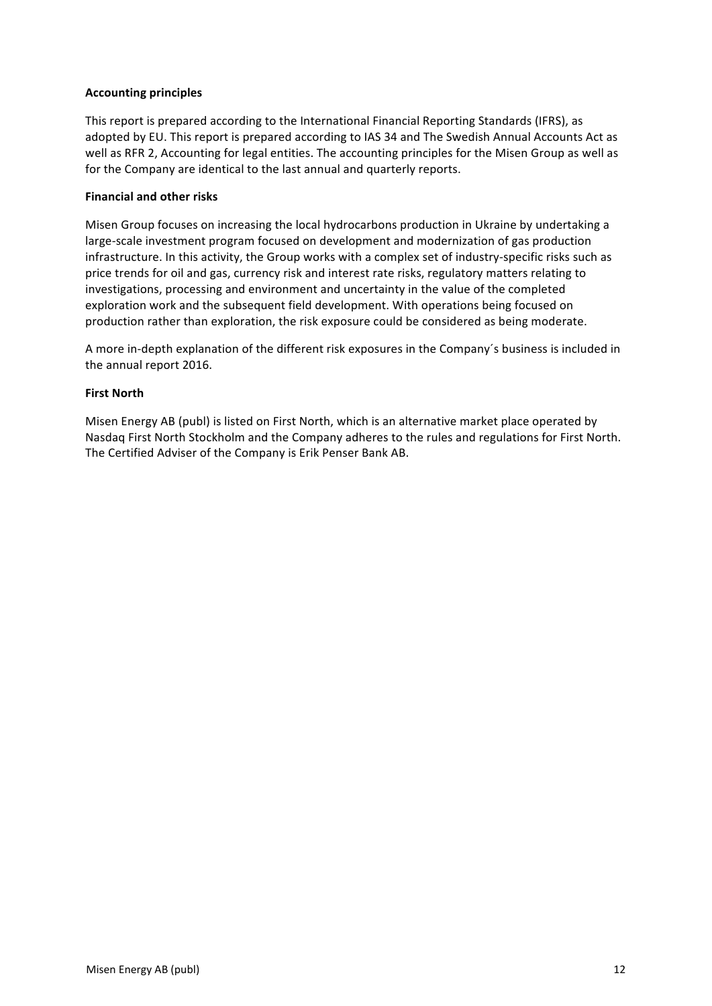### **Accounting principles**

This report is prepared according to the International Financial Reporting Standards (IFRS), as adopted by EU. This report is prepared according to IAS 34 and The Swedish Annual Accounts Act as well as RFR 2, Accounting for legal entities. The accounting principles for the Misen Group as well as for the Company are identical to the last annual and quarterly reports.

#### **Financial and other risks**

Misen Group focuses on increasing the local hydrocarbons production in Ukraine by undertaking a large-scale investment program focused on development and modernization of gas production infrastructure. In this activity, the Group works with a complex set of industry-specific risks such as price trends for oil and gas, currency risk and interest rate risks, regulatory matters relating to investigations, processing and environment and uncertainty in the value of the completed exploration work and the subsequent field development. With operations being focused on production rather than exploration, the risk exposure could be considered as being moderate.

A more in-depth explanation of the different risk exposures in the Company's business is included in the annual report 2016.

#### **First North**

Misen Energy AB (publ) is listed on First North, which is an alternative market place operated by Nasdaq First North Stockholm and the Company adheres to the rules and regulations for First North. The Certified Adviser of the Company is Erik Penser Bank AB.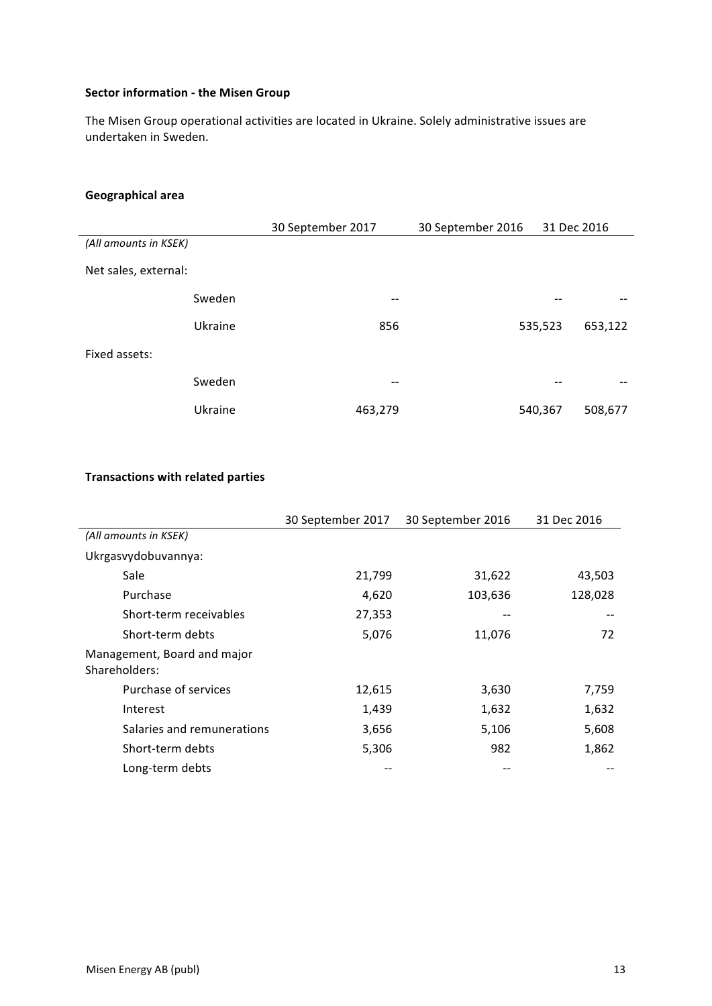## **Sector information - the Misen Group**

The Misen Group operational activities are located in Ukraine. Solely administrative issues are undertaken in Sweden.

# **Geographical area**

|                       |         | 30 September 2017 | 30 September 2016 | 31 Dec 2016 |         |
|-----------------------|---------|-------------------|-------------------|-------------|---------|
| (All amounts in KSEK) |         |                   |                   |             |         |
| Net sales, external:  |         |                   |                   |             |         |
|                       | Sweden  | $- -$             |                   |             |         |
|                       | Ukraine | 856               |                   | 535,523     | 653,122 |
| Fixed assets:         |         |                   |                   |             |         |
|                       | Sweden  | $- -$             |                   |             |         |
|                       | Ukraine | 463,279           |                   | 540,367     | 508,677 |

#### **Transactions with related parties**

|                                              | 30 September 2017 | 30 September 2016 | 31 Dec 2016 |
|----------------------------------------------|-------------------|-------------------|-------------|
| (All amounts in KSEK)                        |                   |                   |             |
| Ukrgasvydobuvannya:                          |                   |                   |             |
| Sale                                         | 21,799            | 31,622            | 43,503      |
| Purchase                                     | 4,620             | 103,636           | 128,028     |
| Short-term receivables                       | 27,353            |                   |             |
| Short-term debts                             | 5,076             | 11,076            | 72          |
| Management, Board and major<br>Shareholders: |                   |                   |             |
| Purchase of services                         | 12,615            | 3,630             | 7,759       |
| Interest                                     | 1,439             | 1,632             | 1,632       |
| Salaries and remunerations                   | 3,656             | 5,106             | 5,608       |
| Short-term debts                             | 5,306             | 982               | 1,862       |
| Long-term debts                              |                   |                   |             |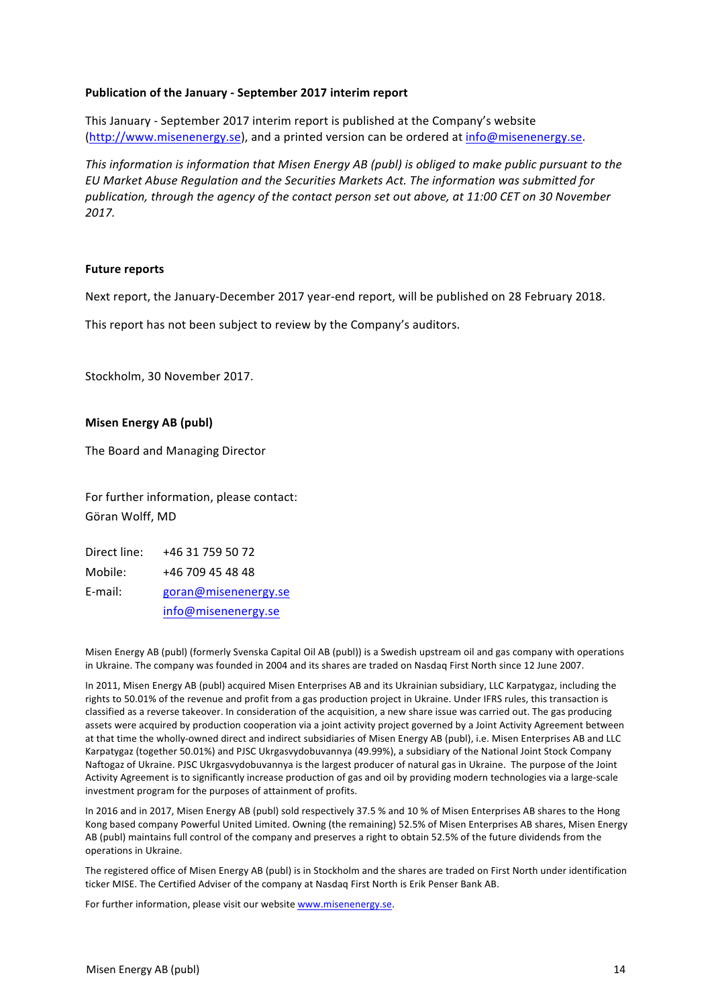#### **Publication of the January - September 2017 interim report**

This January - September 2017 interim report is published at the Company's website (http://www.misenenergy.se), and a printed version can be ordered at info@misenenergy.se.

*This information is information that Misen Energy AB (publ)* is obliged to make public pursuant to the *EU Market Abuse Regulation and the Securities Markets Act. The information was submitted for publication, through the agency of the contact person set out above, at 11:00 CET on 30 November 2017.* 

#### **Future reports**

Next report, the January-December 2017 year-end report, will be published on 28 February 2018.

This report has not been subject to review by the Company's auditors.

Stockholm, 30 November 2017.

#### **Misen Energy AB (publ)**

The Board and Managing Director

For further information, please contact: Göran Wolff, MD

| Direct line: | +46 31 759 50 72     |
|--------------|----------------------|
| Mobile:      | +46 709 45 48 48     |
| E-mail:      | goran@misenenergy.se |
|              | info@misenenergy.se  |

Misen Energy AB (publ) (formerly Svenska Capital Oil AB (publ)) is a Swedish upstream oil and gas company with operations in Ukraine. The company was founded in 2004 and its shares are traded on Nasdaq First North since 12 June 2007.

In 2011, Misen Energy AB (publ) acquired Misen Enterprises AB and its Ukrainian subsidiary, LLC Karpatygaz, including the rights to 50.01% of the revenue and profit from a gas production project in Ukraine. Under IFRS rules, this transaction is classified as a reverse takeover. In consideration of the acquisition, a new share issue was carried out. The gas producing assets were acquired by production cooperation via a joint activity project governed by a Joint Activity Agreement between at that time the wholly-owned direct and indirect subsidiaries of Misen Energy AB (publ), i.e. Misen Enterprises AB and LLC Karpatygaz (together 50.01%) and PJSC Ukrgasvydobuvannya (49.99%), a subsidiary of the National Joint Stock Company Naftogaz of Ukraine. PJSC Ukrgasvydobuvannya is the largest producer of natural gas in Ukraine. The purpose of the Joint Activity Agreement is to significantly increase production of gas and oil by providing modern technologies via a large-scale investment program for the purposes of attainment of profits.

In 2016 and in 2017, Misen Energy AB (publ) sold respectively 37.5 % and 10 % of Misen Enterprises AB shares to the Hong Kong based company Powerful United Limited. Owning (the remaining) 52.5% of Misen Enterprises AB shares, Misen Energy AB (publ) maintains full control of the company and preserves a right to obtain 52.5% of the future dividends from the operations in Ukraine.

The registered office of Misen Energy AB (publ) is in Stockholm and the shares are traded on First North under identification ticker MISE. The Certified Adviser of the company at Nasdaq First North is Erik Penser Bank AB.

For further information, please visit our website www.misenenergy.se.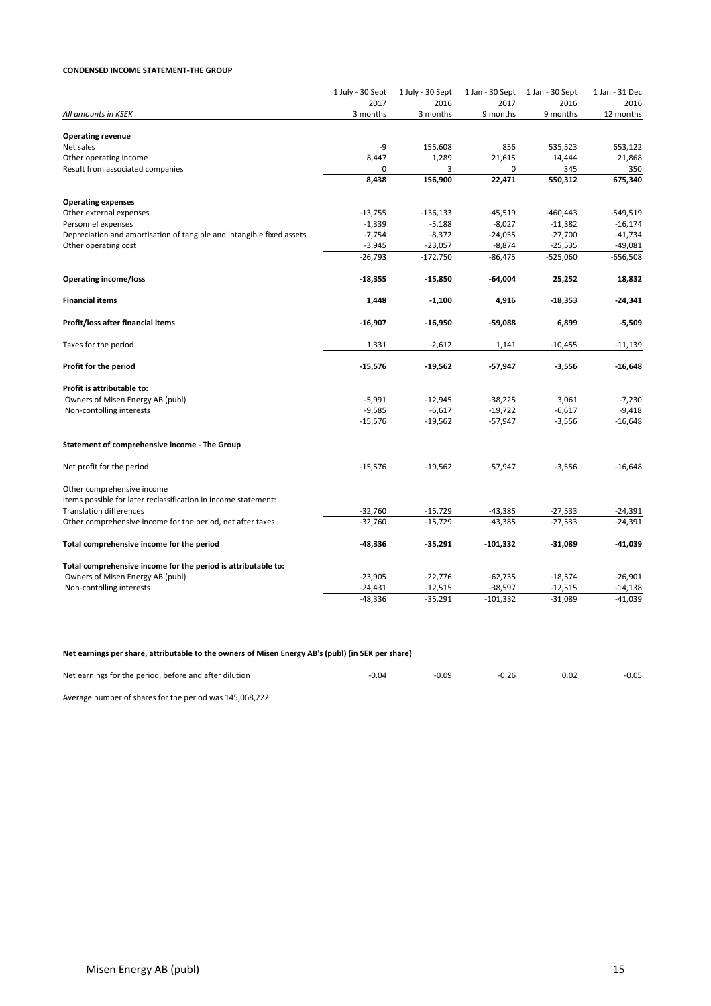#### **CONDENSED INCOME STATEMENT-THE GROUP**

|                                                                       | 1 July - 30 Sept<br>2017 | 1 July - 30 Sept<br>2016 | 1 Jan - 30 Sept<br>2017 | 1 Jan - 30 Sept<br>2016 | 1 Jan - 31 Dec<br>2016 |
|-----------------------------------------------------------------------|--------------------------|--------------------------|-------------------------|-------------------------|------------------------|
| All amounts in KSEK                                                   | 3 months                 | 3 months                 | 9 months                | 9 months                | 12 months              |
|                                                                       |                          |                          |                         |                         |                        |
| <b>Operating revenue</b>                                              |                          |                          |                         |                         |                        |
| Net sales                                                             | -9                       | 155,608                  | 856                     | 535,523                 | 653,122                |
| Other operating income                                                | 8,447                    | 1,289                    | 21,615                  | 14,444                  | 21,868                 |
| Result from associated companies                                      | 0                        | 3                        | 0                       | 345                     | 350                    |
|                                                                       | 8,438                    | 156,900                  | 22,471                  | 550,312                 | 675,340                |
| <b>Operating expenses</b>                                             |                          |                          |                         |                         |                        |
| Other external expenses                                               | $-13,755$                | $-136,133$               | $-45,519$               | $-460,443$              | $-549,519$             |
| Personnel expenses                                                    | $-1,339$                 | $-5,188$                 | $-8,027$                | $-11,382$               | $-16,174$              |
| Depreciation and amortisation of tangible and intangible fixed assets | $-7,754$                 | $-8,372$                 | $-24,055$               | $-27,700$               | $-41,734$              |
| Other operating cost                                                  | $-3,945$                 | $-23,057$                | $-8,874$                | $-25,535$               | $-49,081$              |
|                                                                       | $-26,793$                | $-172,750$               | $-86,475$               | $-525,060$              | $-656,508$             |
| <b>Operating income/loss</b>                                          | $-18,355$                | $-15,850$                | $-64,004$               | 25,252                  | 18,832                 |
| <b>Financial items</b>                                                | 1,448                    | $-1,100$                 | 4,916                   | $-18,353$               | $-24,341$              |
| Profit/loss after financial items                                     | -16,907                  | $-16,950$                | -59,088                 | 6,899                   | -5,509                 |
| Taxes for the period                                                  | 1,331                    | $-2,612$                 | 1,141                   | $-10,455$               | $-11,139$              |
| Profit for the period                                                 | $-15,576$                | $-19,562$                | -57,947                 | -3,556                  | -16,648                |
|                                                                       |                          |                          |                         |                         |                        |
| Profit is attributable to:                                            |                          |                          |                         |                         |                        |
| Owners of Misen Energy AB (publ)                                      | $-5,991$                 | $-12,945$<br>$-6,617$    | $-38,225$               | 3,061                   | $-7,230$               |
| Non-contolling interests                                              | $-9,585$<br>$-15,576$    | $-19,562$                | $-19,722$<br>$-57,947$  | $-6,617$<br>$-3,556$    | $-9,418$<br>$-16,648$  |
| Statement of comprehensive income - The Group                         |                          |                          |                         |                         |                        |
|                                                                       |                          |                          |                         |                         |                        |
| Net profit for the period                                             | $-15,576$                | $-19,562$                | $-57,947$               | $-3,556$                | $-16,648$              |
| Other comprehensive income                                            |                          |                          |                         |                         |                        |
| Items possible for later reclassification in income statement:        |                          |                          |                         |                         |                        |
| <b>Translation differences</b>                                        | $-32,760$                | $-15,729$                | $-43,385$               | $-27,533$               | $-24,391$              |
| Other comprehensive income for the period, net after taxes            | $-32,760$                | $-15,729$                | $-43,385$               | $-27,533$               | $-24,391$              |
| Total comprehensive income for the period                             | -48,336                  | $-35,291$                | $-101,332$              | $-31,089$               | $-41,039$              |
| Total comprehensive income for the period is attributable to:         |                          |                          |                         |                         |                        |
| Owners of Misen Energy AB (publ)                                      | $-23,905$                | $-22,776$                | $-62,735$               | $-18,574$               | $-26,901$              |
| Non-contolling interests                                              | $-24,431$                | $-12,515$                | $-38,597$               | $-12,515$               | $-14,138$              |
|                                                                       | $-48,336$                | $-35,291$                | $-101,332$              | $-31,089$               | $-41,039$              |
|                                                                       |                          |                          |                         |                         |                        |

#### Net earnings per share, attributable to the owners of Misen Energy AB's (publ) (in SEK per share)

| Net earnings for the period, before and after dilution | $-0.04$ | 0.09 | $-0.26$ | 0.02 | $-0.05$ |
|--------------------------------------------------------|---------|------|---------|------|---------|
| $\sim$ $\sim$ $\sim$<br>.                              |         |      |         |      |         |

Average number of shares for the period was 145,068,222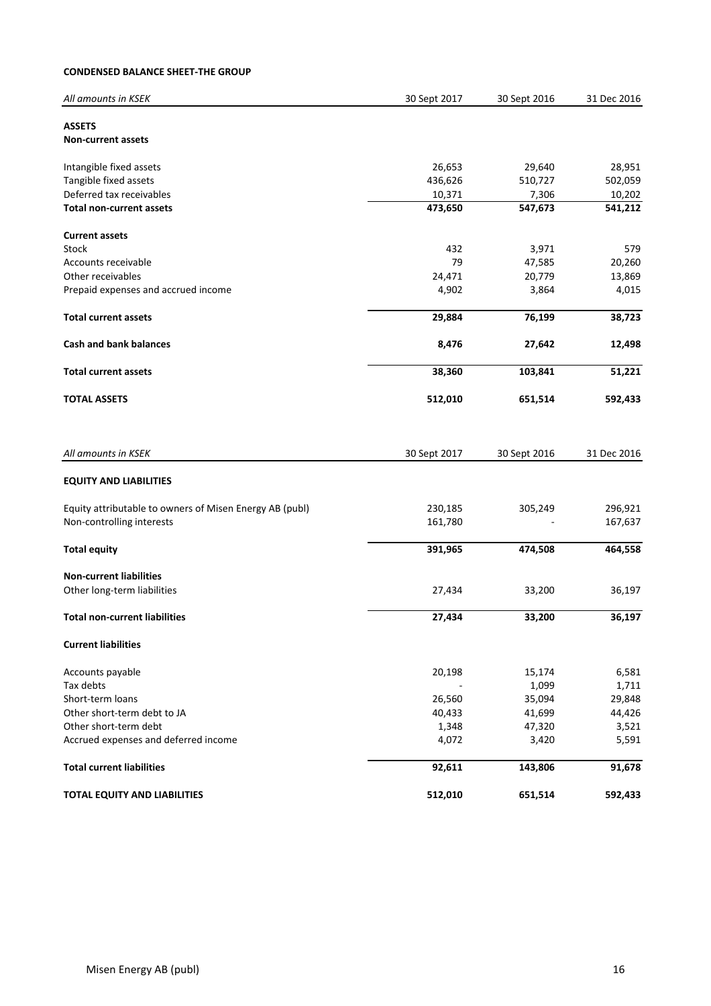#### **CONDENSED BALANCE SHEET-THE GROUP**

| All amounts in KSEK                                     | 30 Sept 2017 | 30 Sept 2016 | 31 Dec 2016 |
|---------------------------------------------------------|--------------|--------------|-------------|
| <b>ASSETS</b><br><b>Non-current assets</b>              |              |              |             |
| Intangible fixed assets                                 | 26,653       | 29,640       | 28,951      |
| Tangible fixed assets                                   | 436,626      | 510,727      | 502,059     |
| Deferred tax receivables                                | 10,371       | 7,306        | 10,202      |
| <b>Total non-current assets</b>                         | 473,650      | 547,673      | 541,212     |
| <b>Current assets</b>                                   |              |              |             |
| Stock                                                   | 432          | 3,971        | 579         |
| Accounts receivable                                     | 79           | 47,585       | 20,260      |
| Other receivables                                       | 24,471       | 20,779       | 13,869      |
| Prepaid expenses and accrued income                     | 4,902        | 3,864        | 4,015       |
| <b>Total current assets</b>                             | 29,884       | 76,199       | 38,723      |
| <b>Cash and bank balances</b>                           | 8,476        | 27,642       | 12,498      |
| <b>Total current assets</b>                             | 38,360       | 103,841      | 51,221      |
| <b>TOTAL ASSETS</b>                                     | 512,010      | 651,514      | 592,433     |
| All amounts in KSEK                                     | 30 Sept 2017 | 30 Sept 2016 | 31 Dec 2016 |
| <b>EQUITY AND LIABILITIES</b>                           |              |              |             |
| Equity attributable to owners of Misen Energy AB (publ) | 230,185      | 305,249      | 296,921     |
| Non-controlling interests                               | 161,780      |              | 167,637     |
| <b>Total equity</b>                                     | 391,965      | 474,508      | 464,558     |
| <b>Non-current liabilities</b>                          |              |              |             |
| Other long-term liabilities                             | 27,434       | 33,200       | 36,197      |
| <b>Total non-current liabilities</b>                    | 27,434       | 33,200       | 36,197      |
| <b>Current liabilities</b>                              |              |              |             |
| Accounts payable                                        | 20,198       | 15,174       | 6,581       |
| Tax debts                                               |              | 1,099        | 1,711       |
| Short-term loans                                        | 26,560       | 35,094       | 29,848      |
| Other short-term debt to JA                             | 40,433       | 41,699       | 44,426      |
| Other short-term debt                                   | 1,348        | 47,320       | 3,521       |
| Accrued expenses and deferred income                    | 4,072        | 3,420        | 5,591       |
| <b>Total current liabilities</b>                        | 92,611       | 143,806      | 91,678      |
| TOTAL EQUITY AND LIABILITIES                            | 512,010      | 651,514      | 592,433     |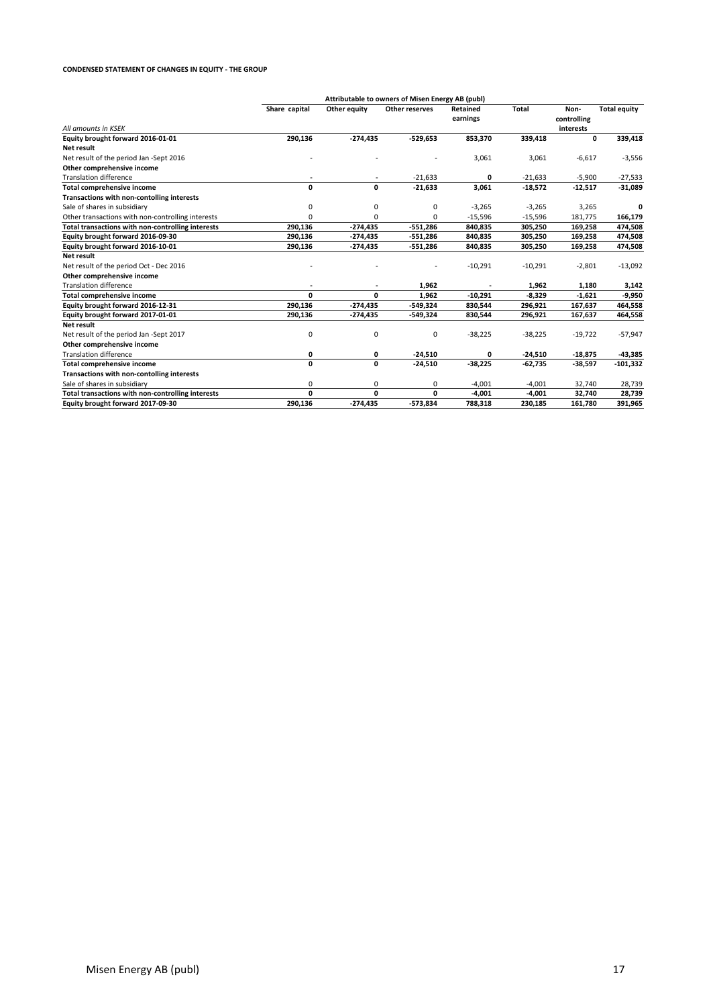#### **CONDENSED STATEMENT OF CHANGES IN EQUITY - THE GROUP**

|                                                   | Attributable to owners of Misen Energy AB (publ) |              |                |                             |              |                     |                     |
|---------------------------------------------------|--------------------------------------------------|--------------|----------------|-----------------------------|--------------|---------------------|---------------------|
|                                                   | Share capital                                    | Other equity | Other reserves | <b>Retained</b><br>earnings | <b>Total</b> | Non-<br>controlling | <b>Total equity</b> |
| All amounts in KSEK                               |                                                  |              |                |                             |              | interests           |                     |
| Equity brought forward 2016-01-01                 | 290,136                                          | $-274,435$   | $-529,653$     | 853,370                     | 339,418      | 0                   | 339,418             |
| Net result                                        |                                                  |              |                |                             |              |                     |                     |
| Net result of the period Jan -Sept 2016           |                                                  |              |                | 3,061                       | 3,061        | $-6,617$            | $-3,556$            |
| Other comprehensive income                        |                                                  |              |                |                             |              |                     |                     |
| <b>Translation difference</b>                     |                                                  |              | $-21,633$      | 0                           | $-21,633$    | $-5,900$            | $-27,533$           |
| <b>Total comprehensive income</b>                 | 0                                                | 0            | $-21,633$      | 3,061                       | $-18,572$    | $-12,517$           | $-31,089$           |
| Transactions with non-contolling interests        |                                                  |              |                |                             |              |                     |                     |
| Sale of shares in subsidiary                      | 0                                                | 0            | 0              | $-3,265$                    | $-3,265$     | 3,265               |                     |
| Other transactions with non-controlling interests | U                                                | 0            | 0              | $-15,596$                   | $-15,596$    | 181,775             | 166,179             |
| Total transactions with non-controlling interests | 290,136                                          | $-274,435$   | $-551,286$     | 840,835                     | 305,250      | 169,258             | 474,508             |
| Equity brought forward 2016-09-30                 | 290,136                                          | $-274,435$   | -551,286       | 840,835                     | 305,250      | 169,258             | 474,508             |
| Equity brought forward 2016-10-01                 | 290,136                                          | $-274,435$   | $-551,286$     | 840,835                     | 305,250      | 169,258             | 474,508             |
| Net result                                        |                                                  |              |                |                             |              |                     |                     |
| Net result of the period Oct - Dec 2016           |                                                  |              |                | $-10,291$                   | $-10,291$    | $-2,801$            | $-13,092$           |
| Other comprehensive income                        |                                                  |              |                |                             |              |                     |                     |
| <b>Translation difference</b>                     |                                                  |              | 1,962          |                             | 1,962        | 1,180               | 3,142               |
| <b>Total comprehensive income</b>                 | 0                                                | 0            | 1,962          | $-10,291$                   | $-8,329$     | $-1,621$            | -9,950              |
| Equity brought forward 2016-12-31                 | 290,136                                          | $-274,435$   | $-549,324$     | 830,544                     | 296,921      | 167,637             | 464,558             |
| Equity brought forward 2017-01-01                 | 290,136                                          | $-274,435$   | -549,324       | 830,544                     | 296,921      | 167,637             | 464,558             |
| Net result                                        |                                                  |              |                |                             |              |                     |                     |
| Net result of the period Jan -Sept 2017           | 0                                                | 0            | 0              | $-38,225$                   | $-38,225$    | $-19,722$           | $-57,947$           |
| Other comprehensive income                        |                                                  |              |                |                             |              |                     |                     |
| <b>Translation difference</b>                     | 0                                                | 0            | $-24,510$      | 0                           | $-24,510$    | $-18,875$           | $-43,385$           |
| Total comprehensive income                        | 0                                                | 0            | $-24,510$      | $-38,225$                   | $-62,735$    | $-38,597$           | $-101,332$          |
| Transactions with non-contolling interests        |                                                  |              |                |                             |              |                     |                     |
| Sale of shares in subsidiary                      | 0                                                | 0            | 0              | $-4,001$                    | $-4,001$     | 32,740              | 28,739              |
| Total transactions with non-controlling interests | 0                                                | 0            | 0              | $-4,001$                    | $-4,001$     | 32,740              | 28,739              |
| Equity brought forward 2017-09-30                 | 290,136                                          | $-274,435$   | $-573,834$     | 788,318                     | 230,185      | 161,780             | 391,965             |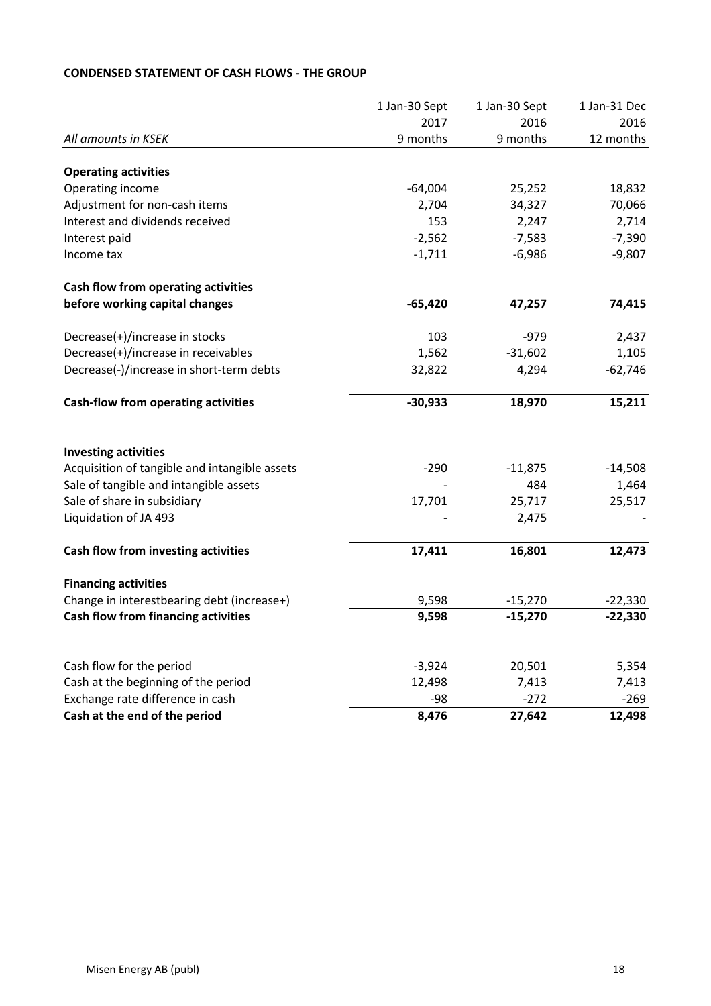|                                                                 | 1 Jan-30 Sept      | 1 Jan-30 Sept   | 1 Jan-31 Dec    |
|-----------------------------------------------------------------|--------------------|-----------------|-----------------|
|                                                                 | 2017               | 2016            | 2016            |
| All amounts in KSEK                                             | 9 months           | 9 months        | 12 months       |
| <b>Operating activities</b>                                     |                    |                 |                 |
| Operating income                                                | $-64,004$          | 25,252          | 18,832          |
| Adjustment for non-cash items                                   | 2,704              | 34,327          | 70,066          |
| Interest and dividends received                                 | 153                | 2,247           | 2,714           |
| Interest paid                                                   | $-2,562$           | $-7,583$        | $-7,390$        |
| Income tax                                                      | $-1,711$           | $-6,986$        | $-9,807$        |
| Cash flow from operating activities                             |                    |                 |                 |
| before working capital changes                                  | $-65,420$          | 47,257          | 74,415          |
| Decrease(+)/increase in stocks                                  | 103                | $-979$          | 2,437           |
| Decrease(+)/increase in receivables                             | 1,562              | $-31,602$       | 1,105           |
| Decrease(-)/increase in short-term debts                        | 32,822             | 4,294           | $-62,746$       |
| <b>Cash-flow from operating activities</b>                      | $-30,933$          | 18,970          | 15,211          |
| <b>Investing activities</b>                                     |                    |                 |                 |
| Acquisition of tangible and intangible assets                   | $-290$             | $-11,875$       | $-14,508$       |
| Sale of tangible and intangible assets                          |                    | 484             | 1,464           |
| Sale of share in subsidiary                                     | 17,701             | 25,717          | 25,517          |
| Liquidation of JA 493                                           |                    | 2,475           |                 |
| Cash flow from investing activities                             | 17,411             | 16,801          | 12,473          |
| <b>Financing activities</b>                                     |                    |                 |                 |
| Change in interestbearing debt (increase+)                      | 9,598              | $-15,270$       | $-22,330$       |
| Cash flow from financing activities                             | 9,598              | $-15,270$       | $-22,330$       |
|                                                                 |                    |                 |                 |
| Cash flow for the period<br>Cash at the beginning of the period | $-3,924$<br>12,498 | 20,501<br>7,413 | 5,354           |
| Exchange rate difference in cash                                | $-98$              | $-272$          | 7,413<br>$-269$ |
| Cash at the end of the period                                   | 8,476              | 27,642          | 12,498          |
|                                                                 |                    |                 |                 |

# **CONDENSED STATEMENT OF CASH FLOWS - THE GROUP**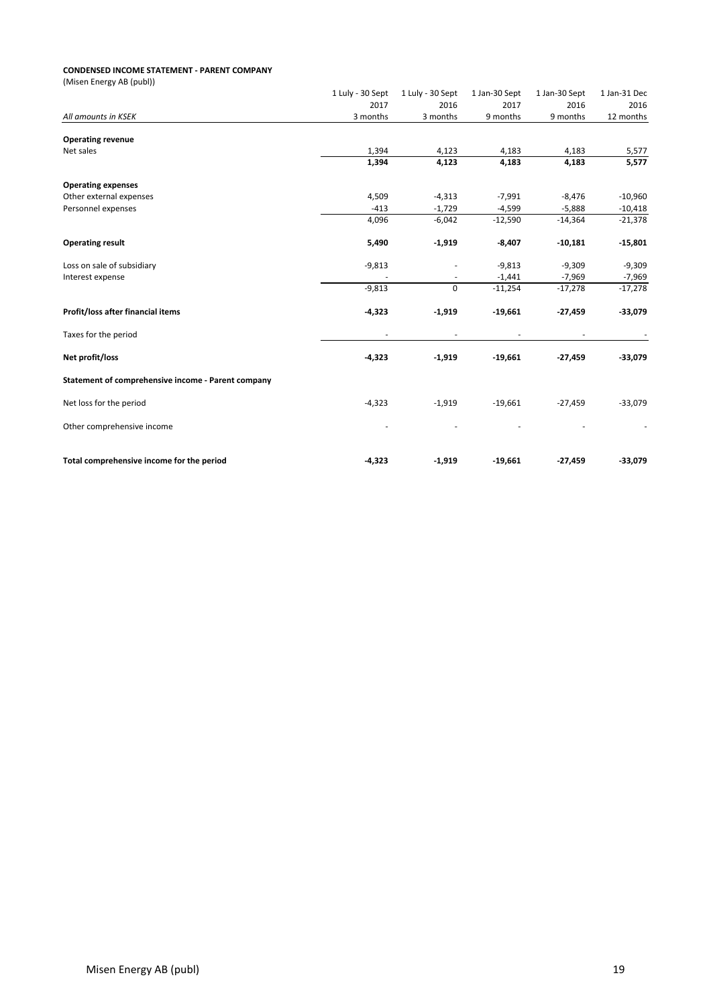#### **CONDENSED INCOME STATEMENT - PARENT COMPANY**

| (Misen Energy AB (publ))                           |                          |                          |               |                          |              |
|----------------------------------------------------|--------------------------|--------------------------|---------------|--------------------------|--------------|
|                                                    | 1 Luly - 30 Sept         | 1 Luly - 30 Sept         | 1 Jan-30 Sept | 1 Jan-30 Sept            | 1 Jan-31 Dec |
|                                                    | 2017                     | 2016                     | 2017          | 2016                     | 2016         |
| All amounts in KSEK                                | 3 months                 | 3 months                 | 9 months      | 9 months                 | 12 months    |
| <b>Operating revenue</b>                           |                          |                          |               |                          |              |
| Net sales                                          | 1,394                    | 4,123                    | 4,183         | 4,183                    | 5,577        |
|                                                    | 1,394                    | 4,123                    | 4,183         | 4,183                    | 5,577        |
| <b>Operating expenses</b>                          |                          |                          |               |                          |              |
| Other external expenses                            | 4,509                    | $-4,313$                 | $-7,991$      | $-8,476$                 | $-10,960$    |
| Personnel expenses                                 | $-413$                   | $-1,729$                 | $-4,599$      | $-5,888$                 | $-10,418$    |
|                                                    | 4,096                    | $-6,042$                 | $-12,590$     | $-14,364$                | $-21,378$    |
| <b>Operating result</b>                            | 5,490                    | $-1,919$                 | $-8,407$      | $-10,181$                | $-15,801$    |
| Loss on sale of subsidiary                         | $-9,813$                 |                          | $-9,813$      | $-9,309$                 | $-9,309$     |
| Interest expense                                   |                          | $\overline{\phantom{a}}$ | $-1,441$      | $-7,969$                 | $-7,969$     |
|                                                    | $-9,813$                 | $\mathbf 0$              | $-11,254$     | $-17,278$                | $-17,278$    |
| Profit/loss after financial items                  | $-4,323$                 | $-1,919$                 | $-19,661$     | $-27,459$                | $-33,079$    |
| Taxes for the period                               | $\overline{\phantom{a}}$ | ٠                        | ٠             | $\overline{\phantom{a}}$ |              |
| Net profit/loss                                    | $-4,323$                 | $-1,919$                 | $-19,661$     | $-27,459$                | $-33,079$    |
| Statement of comprehensive income - Parent company |                          |                          |               |                          |              |
| Net loss for the period                            | $-4,323$                 | $-1,919$                 | $-19,661$     | $-27,459$                | $-33,079$    |
| Other comprehensive income                         |                          |                          |               |                          |              |
| Total comprehensive income for the period          | $-4,323$                 | $-1,919$                 | $-19,661$     | $-27,459$                | $-33,079$    |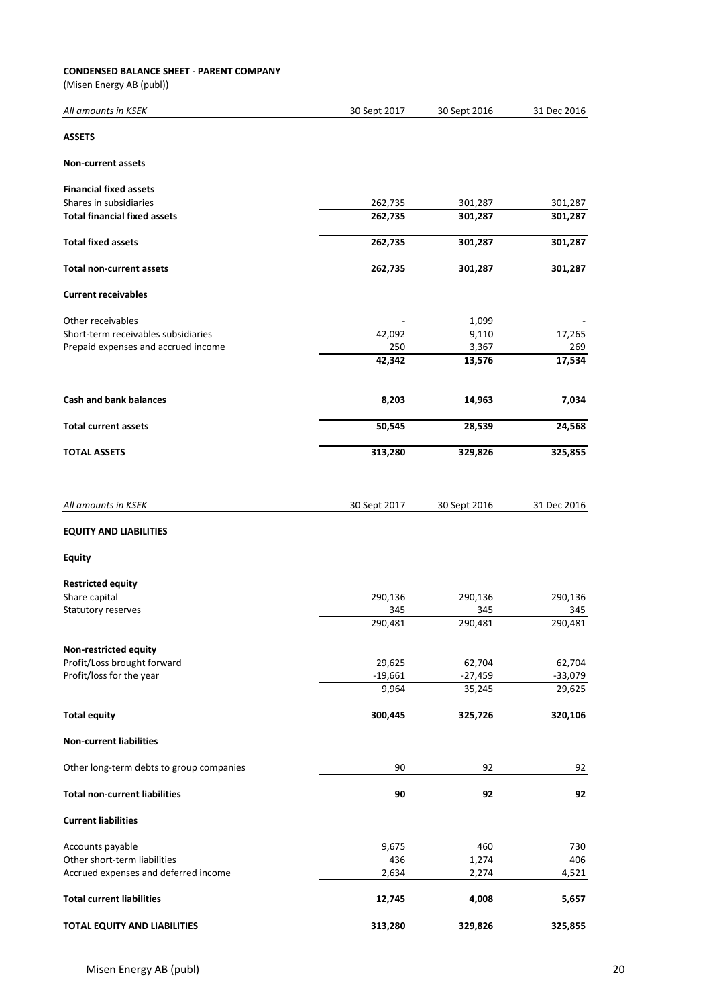#### **CONDENSED BALANCE SHEET - PARENT COMPANY**

(Misen Energy AB (publ))

| All amounts in KSEK                                  | 30 Sept 2017  | 30 Sept 2016    | 31 Dec 2016   |
|------------------------------------------------------|---------------|-----------------|---------------|
| <b>ASSETS</b>                                        |               |                 |               |
| <b>Non-current assets</b>                            |               |                 |               |
| <b>Financial fixed assets</b>                        |               |                 |               |
| Shares in subsidiaries                               | 262,735       | 301,287         | 301,287       |
| <b>Total financial fixed assets</b>                  | 262,735       | 301,287         | 301,287       |
| <b>Total fixed assets</b>                            | 262,735       | 301,287         | 301,287       |
| <b>Total non-current assets</b>                      | 262,735       | 301,287         | 301,287       |
| <b>Current receivables</b>                           |               |                 |               |
|                                                      |               |                 |               |
| Other receivables                                    |               | 1,099           |               |
| Short-term receivables subsidiaries                  | 42,092        | 9,110           | 17,265        |
| Prepaid expenses and accrued income                  | 250<br>42,342 | 3,367<br>13,576 | 269<br>17,534 |
|                                                      |               |                 |               |
| <b>Cash and bank balances</b>                        | 8,203         | 14,963          | 7,034         |
| <b>Total current assets</b>                          | 50,545        | 28,539          | 24,568        |
| <b>TOTAL ASSETS</b>                                  | 313,280       | 329,826         | 325,855       |
|                                                      |               |                 |               |
| All amounts in KSEK                                  | 30 Sept 2017  | 30 Sept 2016    | 31 Dec 2016   |
| <b>EQUITY AND LIABILITIES</b>                        |               |                 |               |
| <b>Equity</b>                                        |               |                 |               |
| <b>Restricted equity</b>                             |               |                 |               |
| Share capital                                        | 290,136       | 290,136         | 290,136       |
| Statutory reserves                                   | 345           | 345             | 345           |
|                                                      | 290,481       | 290,481         | 290,481       |
|                                                      |               |                 |               |
| Non-restricted equity<br>Profit/Loss brought forward | 29,625        | 62,704          | 62,704        |
| Profit/loss for the year                             | $-19,661$     | $-27,459$       | $-33,079$     |
|                                                      | 9,964         | 35,245          | 29,625        |
| <b>Total equity</b>                                  | 300,445       | 325,726         | 320,106       |
| <b>Non-current liabilities</b>                       |               |                 |               |
| Other long-term debts to group companies             | 90            | 92              | 92            |
| <b>Total non-current liabilities</b>                 | 90            | 92              | 92            |
| <b>Current liabilities</b>                           |               |                 |               |
|                                                      |               |                 |               |
| Accounts payable<br>Other short-term liabilities     | 9,675         | 460             | 730           |
| Accrued expenses and deferred income                 | 436<br>2,634  | 1,274<br>2,274  | 406<br>4,521  |
| <b>Total current liabilities</b>                     | 12,745        | 4,008           | 5,657         |
|                                                      |               |                 |               |
| <b>TOTAL EQUITY AND LIABILITIES</b>                  | 313,280       | 329,826         | 325,855       |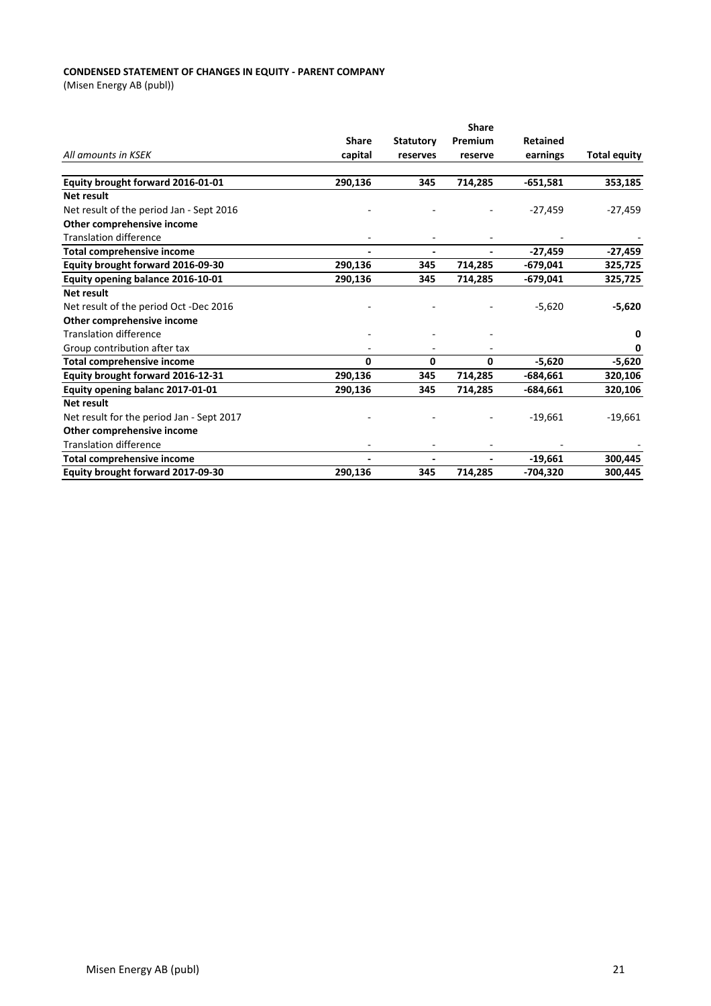#### **CONDENSED STATEMENT OF CHANGES IN EQUITY - PARENT COMPANY**

(Misen Energy AB (publ))

|                                           | <b>Share</b> |                  |              |                 |                     |
|-------------------------------------------|--------------|------------------|--------------|-----------------|---------------------|
|                                           | <b>Share</b> | <b>Statutory</b> | Premium      | <b>Retained</b> |                     |
| All amounts in KSEK                       | capital      | reserves         | reserve      | earnings        | <b>Total equity</b> |
| Equity brought forward 2016-01-01         | 290,136      | 345              | 714,285      | $-651,581$      | 353,185             |
| Net result                                |              |                  |              |                 |                     |
| Net result of the period Jan - Sept 2016  |              |                  |              | $-27,459$       | $-27,459$           |
| Other comprehensive income                |              |                  |              |                 |                     |
| <b>Translation difference</b>             |              |                  |              |                 |                     |
| Total comprehensive income                |              |                  |              | $-27,459$       | $-27,459$           |
| Equity brought forward 2016-09-30         | 290,136      | 345              | 714,285      | $-679,041$      | 325,725             |
| Equity opening balance 2016-10-01         | 290,136      | 345              | 714,285      | $-679,041$      | 325,725             |
| <b>Net result</b>                         |              |                  |              |                 |                     |
| Net result of the period Oct -Dec 2016    |              |                  |              | $-5,620$        | $-5,620$            |
| Other comprehensive income                |              |                  |              |                 |                     |
| <b>Translation difference</b>             |              |                  |              |                 | 0                   |
| Group contribution after tax              |              |                  |              |                 | 0                   |
| <b>Total comprehensive income</b>         | $\Omega$     | 0                | $\mathbf{0}$ | $-5,620$        | $-5,620$            |
| Equity brought forward 2016-12-31         | 290,136      | 345              | 714,285      | $-684,661$      | 320,106             |
| Equity opening balanc 2017-01-01          | 290,136      | 345              | 714,285      | $-684,661$      | 320,106             |
| Net result                                |              |                  |              |                 |                     |
| Net result for the period Jan - Sept 2017 |              |                  |              | $-19,661$       | $-19,661$           |
| Other comprehensive income                |              |                  |              |                 |                     |
| <b>Translation difference</b>             |              |                  |              |                 |                     |
| <b>Total comprehensive income</b>         |              |                  |              | $-19,661$       | 300,445             |
| Equity brought forward 2017-09-30         | 290,136      | 345              | 714,285      | $-704,320$      | 300,445             |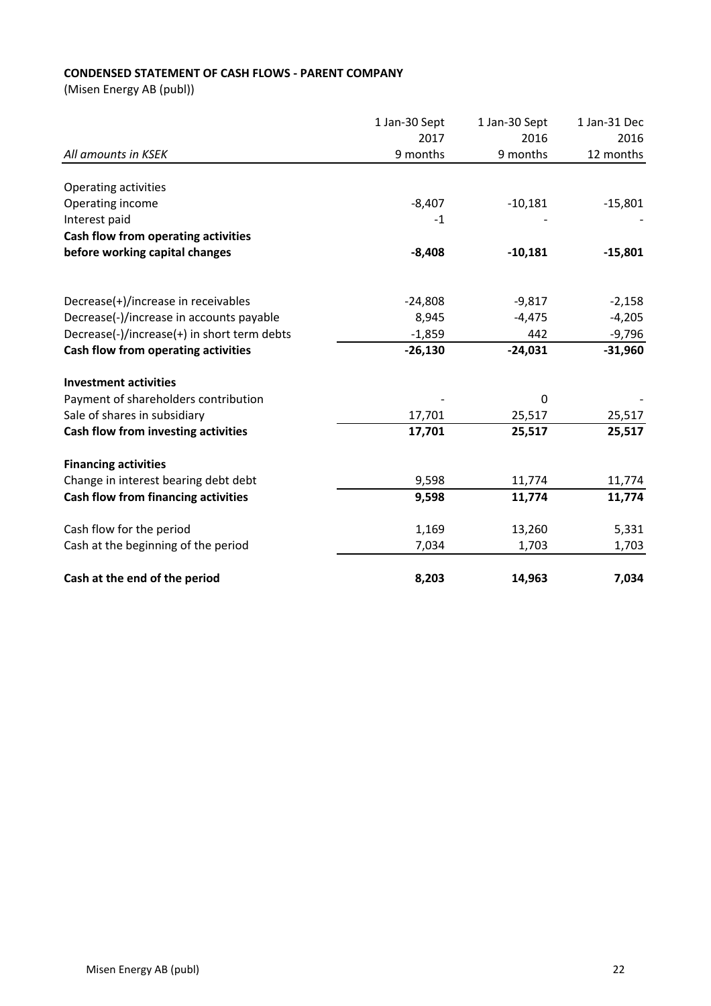## **CONDENSED STATEMENT OF CASH FLOWS - PARENT COMPANY**

(Misen Energy AB (publ))

|                                             | 1 Jan-30 Sept | 1 Jan-30 Sept | 1 Jan-31 Dec |
|---------------------------------------------|---------------|---------------|--------------|
| All amounts in KSEK                         | 2017          | 2016          | 2016         |
|                                             | 9 months      | 9 months      | 12 months    |
| Operating activities                        |               |               |              |
| Operating income                            | $-8,407$      | $-10,181$     | $-15,801$    |
| Interest paid                               | $-1$          |               |              |
| Cash flow from operating activities         |               |               |              |
| before working capital changes              | $-8,408$      | $-10,181$     | $-15,801$    |
|                                             |               |               |              |
| Decrease(+)/increase in receivables         | $-24,808$     | $-9,817$      | $-2,158$     |
| Decrease(-)/increase in accounts payable    | 8,945         | $-4,475$      | $-4,205$     |
| Decrease(-)/increase(+) in short term debts | $-1,859$      | 442           | $-9,796$     |
| Cash flow from operating activities         | $-26,130$     | $-24,031$     | $-31,960$    |
| <b>Investment activities</b>                |               |               |              |
| Payment of shareholders contribution        |               | $\Omega$      |              |
| Sale of shares in subsidiary                | 17,701        | 25,517        | 25,517       |
| Cash flow from investing activities         | 17,701        | 25,517        | 25,517       |
| <b>Financing activities</b>                 |               |               |              |
| Change in interest bearing debt debt        | 9,598         | 11,774        | 11,774       |
| Cash flow from financing activities         | 9,598         | 11,774        | 11,774       |
| Cash flow for the period                    | 1,169         | 13,260        | 5,331        |
| Cash at the beginning of the period         | 7,034         | 1,703         | 1,703        |
| Cash at the end of the period               | 8,203         | 14,963        | 7,034        |